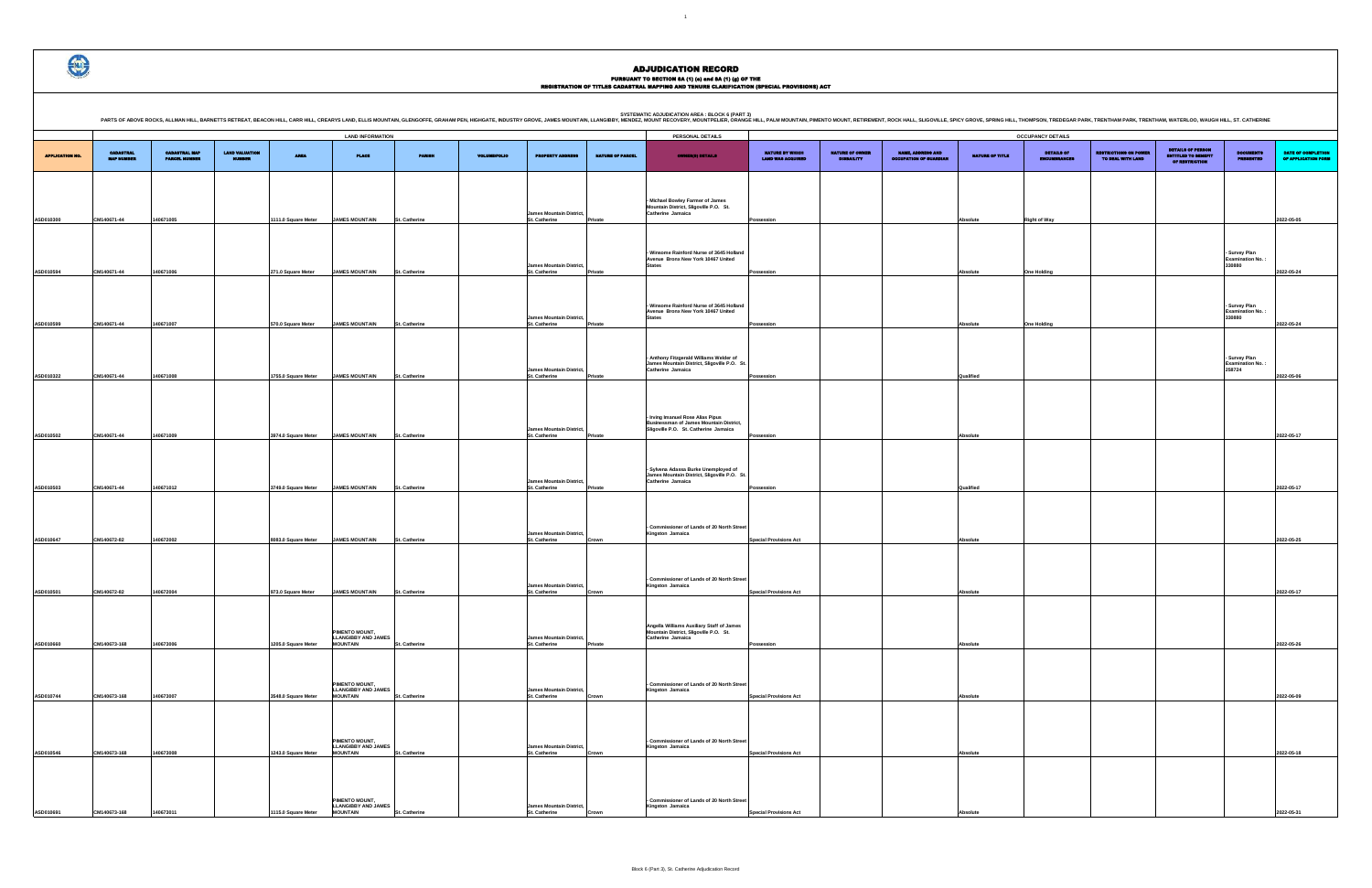**PERSONAL DETAILS LAND INFORMATION OCCUPANCY DETAILS** CADASTRAL MAP PARCEL NUMBER LAND VALUATION NUMBER AREA PLACE PARISH VOLUME/FOLIO PROPERTY ADDRESS NATURE OF PARCEL OWNER(S) DETAILS NATURE BY WHICH LAND WAS ACQUIRED NATURE OF OWNER DISBAILITY NAME, ADDRESS AND OCCUPATION OF GUARDIAN NATURE OF TITL DETAILS OF RESTRICTIONS ON POWER TO DEAL WITH LAND DETAILS OF PERSON ENTITLED TO BENEFIT OF RESTRICTION **ASD010300 CM140671-44 140671005 1111.0 Square Meter JAMES MOUNTAIN St. Catherine** mes Mountain Dis **St. Catherine - Michael Bowley Farmer of James Mountain District, Sligoville P.O. St. Catherine Jamaica Possession Absolute Right of Way 2022-05-05 ASD010594 CM140671-44 140671006 271.0 Square Meter JAMES MOUNTAIN St. Catherine James Mountain District, St. Catherine Private - Winsome Rainford Nurse of 3645 Holland Avenue Bronx New York 10467 United States Possession Absolute One Holding - Survey Plan Examination No. : 330880 James Mountain District, - Winsome Rainford Nurse of 3645 Holland Avenue Bronx New York 10467 United States - Survey Plan Examination No. : 330880** PARTS OF ABOVE ROCKS, ALLMAN HILL, BARNETTS RETREAT, BEACON HILL, CARR HILL, CARR HILL, CARR HILL, CARR HILL, CARR HILL, CARR HILL, CARR HILL, CARR HILL, CARR HILL, CARR HILL, CARR HILL, CARR HILL, CARR HILL, CARR HILL, SI



APPLICATION NO.

CADASTRAL MAP NUMBER

|                                             | NATURE OF OWNER<br><b>DISBAILITY</b> |                                                    |                        | <b>OCCUPANCY DETAILS</b>          |                                                   |                                                                          |                                                    |                                           |
|---------------------------------------------|--------------------------------------|----------------------------------------------------|------------------------|-----------------------------------|---------------------------------------------------|--------------------------------------------------------------------------|----------------------------------------------------|-------------------------------------------|
| NATURE BY WHICH<br><b>LAND WAS ACQUIRED</b> |                                      | NAME, ADDRESS AND<br><b>OCCUPATION OF GUARDIAN</b> | <b>NATURE OF TITLE</b> | DETAILS OF<br><b>ENCUMBRANCES</b> | <b>RESTRICTIONS ON POWER</b><br>TO DEAL WITH LAND | <b>DETAILS OF PERSON</b><br><b>ENTITLED TO BENEFIT</b><br>OF RESTRICTION | <b>DOCUMENTS</b><br><b>PRESENTED</b>               | DATE OF COMPLETION<br>OF APPLICATION FORM |
|                                             |                                      |                                                    |                        |                                   |                                                   |                                                                          |                                                    |                                           |
|                                             |                                      |                                                    |                        |                                   |                                                   |                                                                          |                                                    |                                           |
| Possession                                  |                                      |                                                    | Absolute               | <b>Right of Way</b>               |                                                   |                                                                          |                                                    | 2022-05-05                                |
|                                             |                                      |                                                    |                        |                                   |                                                   |                                                                          |                                                    |                                           |
|                                             |                                      |                                                    |                        |                                   |                                                   |                                                                          | - Survey Plan<br><b>Examination No.:</b>           |                                           |
| Possession                                  |                                      |                                                    | Absolute               | <b>One Holding</b>                |                                                   |                                                                          | 330880                                             | 2022-05-24                                |
|                                             |                                      |                                                    |                        |                                   |                                                   |                                                                          |                                                    |                                           |
|                                             |                                      |                                                    |                        |                                   |                                                   |                                                                          | - Survey Plan<br><b>Examination No.:</b>           |                                           |
| Possession                                  |                                      |                                                    | Absolute               | <b>One Holding</b>                |                                                   |                                                                          | 330880                                             | 2022-05-24                                |
|                                             |                                      |                                                    |                        |                                   |                                                   |                                                                          |                                                    |                                           |
|                                             |                                      |                                                    |                        |                                   |                                                   |                                                                          | - Survey Plan<br><b>Examination No.:</b><br>258724 |                                           |
| Possession                                  |                                      |                                                    | Qualified              |                                   |                                                   |                                                                          |                                                    | 2022-05-06                                |
|                                             |                                      |                                                    |                        |                                   |                                                   |                                                                          |                                                    |                                           |
|                                             |                                      |                                                    |                        |                                   |                                                   |                                                                          |                                                    |                                           |
| Possession                                  |                                      |                                                    | Absolute               |                                   |                                                   |                                                                          |                                                    | 2022-05-17                                |
|                                             |                                      |                                                    |                        |                                   |                                                   |                                                                          |                                                    |                                           |
|                                             |                                      |                                                    |                        |                                   |                                                   |                                                                          |                                                    |                                           |
| Possession                                  |                                      |                                                    | Qualified              |                                   |                                                   |                                                                          |                                                    | 2022-05-17                                |
|                                             |                                      |                                                    |                        |                                   |                                                   |                                                                          |                                                    |                                           |
|                                             |                                      |                                                    |                        |                                   |                                                   |                                                                          |                                                    |                                           |
| <b>Special Provisions Act</b>               |                                      |                                                    | Absolute               |                                   |                                                   |                                                                          |                                                    | 2022-05-25                                |
|                                             |                                      |                                                    |                        |                                   |                                                   |                                                                          |                                                    |                                           |
| <b>Special Provisions Act</b>               |                                      |                                                    | Absolute               |                                   |                                                   |                                                                          |                                                    | 2022-05-17                                |
|                                             |                                      |                                                    |                        |                                   |                                                   |                                                                          |                                                    |                                           |
|                                             |                                      |                                                    |                        |                                   |                                                   |                                                                          |                                                    |                                           |
| Possession                                  |                                      |                                                    | Absolute               |                                   |                                                   |                                                                          |                                                    | 2022-05-26                                |
|                                             |                                      |                                                    |                        |                                   |                                                   |                                                                          |                                                    |                                           |
|                                             |                                      |                                                    |                        |                                   |                                                   |                                                                          |                                                    |                                           |
| <b>Special Provisions Act</b>               |                                      |                                                    | Absolute               |                                   |                                                   |                                                                          |                                                    | 2022-06-09                                |
|                                             |                                      |                                                    |                        |                                   |                                                   |                                                                          |                                                    |                                           |
|                                             |                                      |                                                    |                        |                                   |                                                   |                                                                          |                                                    |                                           |
| <b>Special Provisions Act</b>               |                                      |                                                    | Absolute               |                                   |                                                   |                                                                          |                                                    | 2022-05-18                                |
|                                             |                                      |                                                    |                        |                                   |                                                   |                                                                          |                                                    |                                           |
|                                             |                                      |                                                    |                        |                                   |                                                   |                                                                          |                                                    |                                           |
|                                             |                                      |                                                    |                        |                                   |                                                   |                                                                          |                                                    |                                           |
| <b>Special Provisions Act</b>               |                                      |                                                    | Absolute               |                                   |                                                   |                                                                          |                                                    | 2022-05-31                                |

|           |              |           |                     |                                                                 |                      |                                                  |         | Winsome Rainford Nurse of 3645 Holland<br>Avenue Bronx New York 10467 United                                          |                               |           |             |
|-----------|--------------|-----------|---------------------|-----------------------------------------------------------------|----------------------|--------------------------------------------------|---------|-----------------------------------------------------------------------------------------------------------------------|-------------------------------|-----------|-------------|
| ASD010599 | CM140671-44  | 140671007 |                     | <b>JAMES MOUNTAIN</b>                                           | St. Catherine        | James Mountain District.<br>St. Catherine        |         | <b>States</b>                                                                                                         |                               | Absolute  |             |
|           |              |           | 570.0 Square Meter  |                                                                 |                      |                                                  | Private | Anthony Fitzgerald Williams Welder of<br>James Mountain District, Sligoville P.O. St.                                 | Possession                    |           | One Holding |
| ASD010322 | CM140671-44  | 140671008 | 1755.0 Square Meter | <b>JAMES MOUNTAIN</b>                                           | St. Catherine        | <b>James Mountain District,</b><br>St. Catherine | Private | Catherine Jamaica                                                                                                     | Possession                    | Qualified |             |
| ASD010502 | CM140671-44  | 140671009 | 3974.0 Square Meter | <b>JAMES MOUNTAIN</b>                                           | <b>St. Catherine</b> | <b>James Mountain District,</b><br>St. Catherine | Private | - Irving Imanuel Rose Alias Pipus<br>Businessman of James Mountain District,<br>Sligoville P.O. St. Catherine Jamaica | Possession                    | Absolute  |             |
|           |              |           |                     |                                                                 |                      | James Mountain District,                         |         | Sylvena Adassa Burke Unemployed of<br>James Mountain District, Sligoville P.O. St.<br>Catherine Jamaica               |                               |           |             |
| ASD010503 | CM140671-44  | 140671012 | 3749.0 Square Meter | <b>JAMES MOUNTAIN</b>                                           | St. Catherine        | St. Catherine                                    | Private |                                                                                                                       | Possession                    | Qualified |             |
| ASD010647 | CM140672-82  | 140672002 | 8083.0 Square Meter | <b>JAMES MOUNTAIN</b>                                           | St. Catherine        | James Mountain District,<br>St. Catherine        | Crown   | - Commissioner of Lands of 20 North Street<br>Kingston Jamaica                                                        | <b>Special Provisions Act</b> | Absolute  |             |
| ASD010501 | CM140672-82  | 140672004 | 973.0 Square Meter  | <b>JAMES MOUNTAIN</b>                                           | <b>St. Catherine</b> | James Mountain District,<br>St. Catherine        | Crown   | <b>Commissioner of Lands of 20 North Street</b><br>Kingston Jamaica                                                   | <b>Special Provisions Act</b> | Absolute  |             |
| ASD010660 | CM140673-168 | 140673006 | 1205.0 Square Meter | PIMENTO MOUNT,<br><b>LLANGIBBY AND JAMES</b><br><b>MOUNTAIN</b> | St. Catherine        | James Mountain District,<br>St. Catherine        | Private | Angella Williams Auxiliary Staff of James<br>Mountain District, Sligoville P.O. St.<br>Catherine Jamaica              | Possession                    | Absolute  |             |
| ASD010744 | CM140673-168 | 140673007 | 3548.0 Square Meter | PIMENTO MOUNT,<br><b>LLANGIBBY AND JAMES</b><br><b>MOUNTAIN</b> | St. Catherine        | James Mountain District,<br>St. Catherine        | Crown   | Commissioner of Lands of 20 North Street<br>Kingston Jamaica                                                          | <b>Special Provisions Act</b> | Absolute  |             |
| ASD010546 | CM140673-168 | 140673008 | 1243.0 Square Meter | PIMENTO MOUNT,<br><b>LLANGIBBY AND JAMES</b><br><b>MOUNTAIN</b> | St. Catherine        | James Mountain District,<br>St. Catherine        | Crown   | Commissioner of Lands of 20 North Street<br>Kingston Jamaica                                                          | <b>Special Provisions Act</b> | Absolute  |             |
| ASD010691 | CM140673-168 | 140673011 | 1115.0 Square Meter | PIMENTO MOUNT.<br><b>LLANGIBBY AND JAMES</b><br><b>MOUNTAIN</b> | <b>St. Catherine</b> | <b>James Mountain District,</b><br>St. Catherine | Crown   | Commissioner of Lands of 20 North Street<br>Kingston Jamaica                                                          | <b>Special Provisions Act</b> | Absolute  |             |
|           |              |           |                     |                                                                 |                      |                                                  |         |                                                                                                                       |                               |           |             |

# ADJUDICATION RECORD

PURSUANT TO SECTION 8A (1) (e) and 8A (1) (g) OF THE<br>REGISTRATION OF TITLES CADASTRAL MAPPING AND TENURE CLARIFICATION (SPECIAL PROVISIONS) ACT

 $1<sub>1</sub>$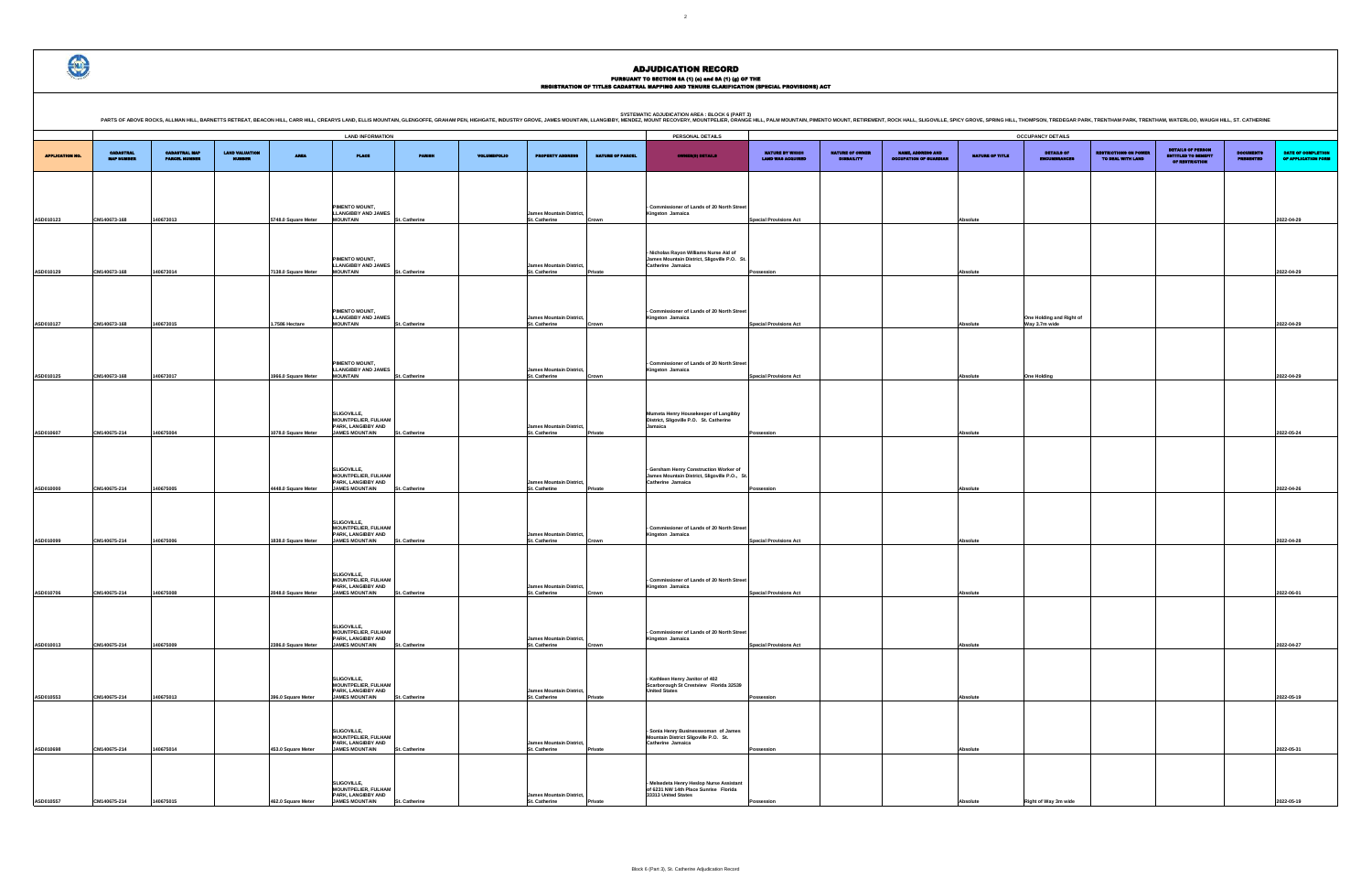PURSUANT TO SECTION 8A (1) (e) and 8A (1) (g) OF THE<br>REGISTRATION OF TITLES CADASTRAL MAPPING AND TENURE CLARIFICATION (SPECIAL PROVISIONS) ACT

|                                             |                                      |                                                    |                        | <b>OCCUPANCY DETAILS</b>          |                                                   |                                                                          |                                      |                                           |
|---------------------------------------------|--------------------------------------|----------------------------------------------------|------------------------|-----------------------------------|---------------------------------------------------|--------------------------------------------------------------------------|--------------------------------------|-------------------------------------------|
| NATURE BY WHICH<br><b>LAND WAS ACQUIRED</b> | NATURE OF OWNER<br><b>DISBAILITY</b> | NAME, ADDRESS AND<br><b>OCCUPATION OF GUARDIAN</b> | <b>NATURE OF TITLE</b> | DETAILS OF<br><b>ENCUMBRANCES</b> | <b>RESTRICTIONS ON POWER</b><br>TO DEAL WITH LAND | <b>DETAILS OF PERSON</b><br><b>ENTITLED TO BEMEFIT</b><br>OF RESTRICTION | <b>DOCUMENTS</b><br><b>PRESENTED</b> | DATE OF COMPLETION<br>OF APPLICATION FORM |
|                                             |                                      |                                                    |                        |                                   |                                                   |                                                                          |                                      |                                           |
|                                             |                                      |                                                    |                        |                                   |                                                   |                                                                          |                                      |                                           |
| <b>Special Provisions Act</b>               |                                      |                                                    | Absolute               |                                   |                                                   |                                                                          |                                      | 2022-04-29                                |
|                                             |                                      |                                                    |                        |                                   |                                                   |                                                                          |                                      |                                           |
|                                             |                                      |                                                    |                        |                                   |                                                   |                                                                          |                                      |                                           |
|                                             |                                      |                                                    |                        |                                   |                                                   |                                                                          |                                      |                                           |
| Possession                                  |                                      |                                                    | Absolute               |                                   |                                                   |                                                                          |                                      | 2022-04-29                                |
|                                             |                                      |                                                    |                        |                                   |                                                   |                                                                          |                                      |                                           |
|                                             |                                      |                                                    |                        | One Holding and Right of          |                                                   |                                                                          |                                      |                                           |
| <b>Special Provisions Act</b>               |                                      |                                                    | Absolute               | Way 3.7m wide                     |                                                   |                                                                          |                                      | 2022-04-29                                |
|                                             |                                      |                                                    |                        |                                   |                                                   |                                                                          |                                      |                                           |
|                                             |                                      |                                                    |                        |                                   |                                                   |                                                                          |                                      |                                           |
| <b>Special Provisions Act</b>               |                                      |                                                    | Absolute               | <b>One Holding</b>                |                                                   |                                                                          |                                      | 2022-04-29                                |
|                                             |                                      |                                                    |                        |                                   |                                                   |                                                                          |                                      |                                           |
|                                             |                                      |                                                    |                        |                                   |                                                   |                                                                          |                                      |                                           |
| Possession                                  |                                      |                                                    | Absolute               |                                   |                                                   |                                                                          |                                      | 2022-05-24                                |
|                                             |                                      |                                                    |                        |                                   |                                                   |                                                                          |                                      |                                           |
|                                             |                                      |                                                    |                        |                                   |                                                   |                                                                          |                                      |                                           |
| Possession                                  |                                      |                                                    | Absolute               |                                   |                                                   |                                                                          |                                      | 2022-04-26                                |
|                                             |                                      |                                                    |                        |                                   |                                                   |                                                                          |                                      |                                           |
|                                             |                                      |                                                    |                        |                                   |                                                   |                                                                          |                                      |                                           |
|                                             |                                      |                                                    |                        |                                   |                                                   |                                                                          |                                      |                                           |
| <b>Special Provisions Act</b>               |                                      |                                                    | Absolute               |                                   |                                                   |                                                                          |                                      | 2022-04-28                                |
|                                             |                                      |                                                    |                        |                                   |                                                   |                                                                          |                                      |                                           |
|                                             |                                      |                                                    |                        |                                   |                                                   |                                                                          |                                      |                                           |
| <b>Special Provisions Act</b>               |                                      |                                                    | Absolute               |                                   |                                                   |                                                                          |                                      | 2022-06-01                                |
|                                             |                                      |                                                    |                        |                                   |                                                   |                                                                          |                                      |                                           |
|                                             |                                      |                                                    |                        |                                   |                                                   |                                                                          |                                      |                                           |
| <b>Special Provisions Act</b>               |                                      |                                                    | Absolute               |                                   |                                                   |                                                                          |                                      | 2022-04-27                                |
|                                             |                                      |                                                    |                        |                                   |                                                   |                                                                          |                                      |                                           |
|                                             |                                      |                                                    |                        |                                   |                                                   |                                                                          |                                      |                                           |
| Possession                                  |                                      |                                                    | Absolute               |                                   |                                                   |                                                                          |                                      | 2022-05-19                                |
|                                             |                                      |                                                    |                        |                                   |                                                   |                                                                          |                                      |                                           |
|                                             |                                      |                                                    |                        |                                   |                                                   |                                                                          |                                      |                                           |
| Possession                                  |                                      |                                                    | Absolute               |                                   |                                                   |                                                                          |                                      | 2022-05-31                                |
|                                             |                                      |                                                    |                        |                                   |                                                   |                                                                          |                                      |                                           |
|                                             |                                      |                                                    |                        |                                   |                                                   |                                                                          |                                      |                                           |
| Possession                                  |                                      |                                                    | Absolute               | Right of Way 3m wide              |                                                   |                                                                          |                                      | 2022-05-19                                |

|                        | PARTS OF ABOVE ROCKS, ALLMAN HILL, BARNETTS RETREAT, BEACON HILL, CARR HILL, CREARYS LAND, ELLIS MOUNTAIN, GLENGOFFE, GRAHAM PEN, HIGHGATE, INDUSTRY GROVE, JAMES MOUNTAIN, LLANGIBBY, MENDEZ, MOUNT RECOVERY, MOUNT RECOVERY,<br><b>CADASTRAL MAP</b><br><b>CABASTRAL</b><br><b>MAP NUMBER</b> |                      |                       |                     | <b>LAND INFORMATION</b>                                                   |               |                     |                                                  |                         | PERSONAL DETAILS                                                                                  |                                             |                                      |                                                    |                        | <b>OCCUPANCY DETAILS</b>        |
|------------------------|-------------------------------------------------------------------------------------------------------------------------------------------------------------------------------------------------------------------------------------------------------------------------------------------------|----------------------|-----------------------|---------------------|---------------------------------------------------------------------------|---------------|---------------------|--------------------------------------------------|-------------------------|---------------------------------------------------------------------------------------------------|---------------------------------------------|--------------------------------------|----------------------------------------------------|------------------------|---------------------------------|
|                        |                                                                                                                                                                                                                                                                                                 |                      |                       |                     |                                                                           |               |                     |                                                  |                         |                                                                                                   |                                             |                                      |                                                    |                        |                                 |
| <b>APPLICATION NO.</b> |                                                                                                                                                                                                                                                                                                 | <b>PARCEL NUMBER</b> | <b>LAND VALUATION</b> | <b>AREA</b>         | <b>PLACE</b>                                                              | PARISH        | <b>VOLUME/FOLIO</b> | <b>PROPERTY ADDRESS</b>                          | <b>NATURE OF PARCEL</b> | <b>OWNER(8) DETAILS</b>                                                                           | NATURE BY WHICH<br><b>LAND WAS ACQUIRED</b> | NATURE OF OWNER<br><b>DISBAILITY</b> | NAME, ADDRESS AND<br><b>OCCUPATION OF GUARDIAN</b> | <b>NATURE OF TITLE</b> | DETAILS OF<br><b>ENCUMBRANC</b> |
|                        |                                                                                                                                                                                                                                                                                                 |                      |                       |                     |                                                                           |               |                     |                                                  |                         |                                                                                                   |                                             |                                      |                                                    |                        |                                 |
|                        |                                                                                                                                                                                                                                                                                                 |                      |                       |                     |                                                                           |               |                     |                                                  |                         |                                                                                                   |                                             |                                      |                                                    |                        |                                 |
| ASD010123              | CM140673-168                                                                                                                                                                                                                                                                                    | 140673013            |                       | 5748.0 Square Meter | PIMENTO MOUNT,<br><b>LLANGIBBY AND JAMES</b><br><b>MOUNTAIN</b>           | St. Catherine |                     | <b>James Mountain District,</b><br>St. Catherine | Crown                   | - Commissioner of Lands of 20 North Street<br>Kingston Jamaica                                    | <b>Special Provisions Act</b>               |                                      |                                                    | Absolute               |                                 |
|                        |                                                                                                                                                                                                                                                                                                 |                      |                       |                     |                                                                           |               |                     |                                                  |                         |                                                                                                   |                                             |                                      |                                                    |                        |                                 |
|                        |                                                                                                                                                                                                                                                                                                 |                      |                       |                     |                                                                           |               |                     |                                                  |                         | Nicholas Rayon Williams Nurse Aid of                                                              |                                             |                                      |                                                    |                        |                                 |
| ASD010129              | CM140673-168                                                                                                                                                                                                                                                                                    | 140673014            |                       | 7138.0 Square Meter | PIMENTO MOUNT,<br><b>LLANGIBBY AND JAMES</b><br><b>MOUNTAIN</b>           | St. Catherine |                     | <b>James Mountain District,</b><br>St. Catherine | Private                 | James Mountain District, Sligoville P.O. St<br>Catherine Jamaica                                  | Possession                                  |                                      |                                                    | Absolute               |                                 |
|                        |                                                                                                                                                                                                                                                                                                 |                      |                       |                     |                                                                           |               |                     |                                                  |                         |                                                                                                   |                                             |                                      |                                                    |                        |                                 |
|                        |                                                                                                                                                                                                                                                                                                 |                      |                       |                     |                                                                           |               |                     |                                                  |                         |                                                                                                   |                                             |                                      |                                                    |                        |                                 |
|                        |                                                                                                                                                                                                                                                                                                 |                      |                       |                     | PIMENTO MOUNT,<br><b>LLANGIBBY AND JAMES</b>                              |               |                     | <b>James Mountain District,</b>                  |                         | Commissioner of Lands of 20 North Street<br>Kingston Jamaica                                      |                                             |                                      |                                                    |                        | One Holding and Ri              |
| ASD010127              | CM140673-168                                                                                                                                                                                                                                                                                    | 140673015            |                       | 1.7586 Hectare      | <b>MOUNTAIN</b>                                                           | St. Catherine |                     | St. Catherine                                    | Crown                   |                                                                                                   | <b>Special Provisions Act</b>               |                                      |                                                    | Absolute               | Way 3.7m wide                   |
|                        |                                                                                                                                                                                                                                                                                                 |                      |                       |                     |                                                                           |               |                     |                                                  |                         |                                                                                                   |                                             |                                      |                                                    |                        |                                 |
|                        |                                                                                                                                                                                                                                                                                                 |                      |                       |                     | PIMENTO MOUNT,                                                            |               |                     |                                                  |                         | Commissioner of Lands of 20 North Street                                                          |                                             |                                      |                                                    |                        |                                 |
| ASD010125              | CM140673-168                                                                                                                                                                                                                                                                                    | 140673017            |                       | 1966.0 Square Meter | <b>LLANGIBBY AND JAMES</b><br><b>MOUNTAIN</b>                             | St. Catherine |                     | <b>James Mountain District,</b><br>St. Catherine | Crown                   | Kingston Jamaica                                                                                  | <b>Special Provisions Act</b>               |                                      |                                                    | Absolute               | <b>One Holding</b>              |
|                        |                                                                                                                                                                                                                                                                                                 |                      |                       |                     |                                                                           |               |                     |                                                  |                         |                                                                                                   |                                             |                                      |                                                    |                        |                                 |
|                        |                                                                                                                                                                                                                                                                                                 |                      |                       |                     | SLIGOVILLE,                                                               |               |                     |                                                  |                         | Mumeta Henry Housekeeper of Langibby                                                              |                                             |                                      |                                                    |                        |                                 |
| ASD010607              | CM140675-214                                                                                                                                                                                                                                                                                    | 140675004            |                       | 1078.0 Square Meter | <b>MOUNTPELIER, FULHAM</b><br>PARK, LANGIBBY AND<br><b>JAMES MOUNTAIN</b> | St. Catherine |                     | <b>James Mountain District,</b><br>St. Catherine | Private                 | District, Sligoville P.O. St. Catherine<br>Jamaica                                                | Possession                                  |                                      |                                                    | Absolute               |                                 |
|                        |                                                                                                                                                                                                                                                                                                 |                      |                       |                     |                                                                           |               |                     |                                                  |                         |                                                                                                   |                                             |                                      |                                                    |                        |                                 |
|                        |                                                                                                                                                                                                                                                                                                 |                      |                       |                     |                                                                           |               |                     |                                                  |                         |                                                                                                   |                                             |                                      |                                                    |                        |                                 |
|                        |                                                                                                                                                                                                                                                                                                 |                      |                       |                     | SLIGOVILLE,<br><b>MOUNTPELIER, FULHAM</b>                                 |               |                     |                                                  |                         | - Gersham Henry Construction Worker of<br>James Mountain District, Sligoville P.O., St.           |                                             |                                      |                                                    |                        |                                 |
| ASD010000              | CM140675-214                                                                                                                                                                                                                                                                                    | 140675005            |                       | 4448.0 Square Meter | PARK, LANGIBBY AND<br><b>JAMES MOUNTAIN</b>                               | St. Catherine |                     | <b>James Mountain District,</b><br>St. Cathetine | Private                 | Catherine Jamaica                                                                                 | Possession                                  |                                      |                                                    | Absolute               |                                 |
|                        |                                                                                                                                                                                                                                                                                                 |                      |                       |                     |                                                                           |               |                     |                                                  |                         |                                                                                                   |                                             |                                      |                                                    |                        |                                 |
|                        |                                                                                                                                                                                                                                                                                                 |                      |                       |                     | SLIGOVILLE,<br><b>MOUNTPELIER, FULHAM</b>                                 |               |                     |                                                  |                         | - Commissioner of Lands of 20 North Street                                                        |                                             |                                      |                                                    |                        |                                 |
| ASD010099              | CM140675-214                                                                                                                                                                                                                                                                                    | 140675006            |                       | 1838.0 Square Meter | PARK, LANGIBBY AND<br><b>JAMES MOUNTAIN</b>                               | St. Catherine |                     | <b>James Mountain District,</b><br>St. Catherine | Crown                   | Kingston Jamaica                                                                                  | <b>Special Provisions Act</b>               |                                      |                                                    | Absolute               |                                 |
|                        |                                                                                                                                                                                                                                                                                                 |                      |                       |                     |                                                                           |               |                     |                                                  |                         |                                                                                                   |                                             |                                      |                                                    |                        |                                 |
|                        |                                                                                                                                                                                                                                                                                                 |                      |                       |                     | SLIGOVILLE,                                                               |               |                     |                                                  |                         |                                                                                                   |                                             |                                      |                                                    |                        |                                 |
| ASD010706              | CM140675-214                                                                                                                                                                                                                                                                                    | 140675008            |                       | 2048.0 Square Meter | <b>MOUNTPELIER, FULHAM</b><br>PARK, LANGIBBY AND<br><b>JAMES MOUNTAIN</b> | St. Catherine |                     | <b>James Mountain District,</b><br>St. Catherine | Crown                   | Commissioner of Lands of 20 North Street<br>Kingston Jamaica                                      | <b>Special Provisions Act</b>               |                                      |                                                    | Absolute               |                                 |
|                        |                                                                                                                                                                                                                                                                                                 |                      |                       |                     |                                                                           |               |                     |                                                  |                         |                                                                                                   |                                             |                                      |                                                    |                        |                                 |
|                        |                                                                                                                                                                                                                                                                                                 |                      |                       |                     | SLIGOVILLE,                                                               |               |                     |                                                  |                         |                                                                                                   |                                             |                                      |                                                    |                        |                                 |
|                        |                                                                                                                                                                                                                                                                                                 |                      |                       |                     | <b>MOUNTPELIER, FULHAM</b><br>PARK, LANGIBBY AND                          |               |                     | <b>James Mountain District,</b>                  |                         | Commissioner of Lands of 20 North Street<br>Kingston Jamaica                                      |                                             |                                      |                                                    |                        |                                 |
| ASD010013              | CM140675-214                                                                                                                                                                                                                                                                                    | 140675009            |                       | 2386.0 Square Meter | <b>JAMES MOUNTAIN</b>                                                     | St. Catherine |                     | St. Catherine                                    | Crown                   |                                                                                                   | <b>Special Provisions Act</b>               |                                      |                                                    | Absolute               |                                 |
|                        |                                                                                                                                                                                                                                                                                                 |                      |                       |                     |                                                                           |               |                     |                                                  |                         |                                                                                                   |                                             |                                      |                                                    |                        |                                 |
|                        |                                                                                                                                                                                                                                                                                                 |                      |                       |                     | SLIGOVILLE,<br><b>MOUNTPELIER, FULHAM</b><br>PARK, LANGIBBY AND           |               |                     | <b>James Mountain District,</b>                  |                         | - Kathleen Henry Janitor of 402<br>Scarborough St Crestview Florida 32539<br><b>United States</b> |                                             |                                      |                                                    |                        |                                 |
| ASD010553              | CM140675-214                                                                                                                                                                                                                                                                                    | 140675013            |                       | 396.0 Square Meter  | <b>JAMES MOUNTAIN</b>                                                     | St. Catherine |                     | St. Catherine                                    | Private                 |                                                                                                   | Possession                                  |                                      |                                                    | Absolute               |                                 |
|                        |                                                                                                                                                                                                                                                                                                 |                      |                       |                     |                                                                           |               |                     |                                                  |                         |                                                                                                   |                                             |                                      |                                                    |                        |                                 |
|                        |                                                                                                                                                                                                                                                                                                 |                      |                       |                     | SLIGOVILLE,<br><b>MOUNTPELIER, FULHAM</b>                                 |               |                     |                                                  |                         | Sonia Henry Businesswoman of James<br>Mountain District Sligoville P.O. St.                       |                                             |                                      |                                                    |                        |                                 |
| ASD010698              | CM140675-214                                                                                                                                                                                                                                                                                    | 140675014            |                       | 453.0 Square Meter  | PARK, LANGIBBY AND<br><b>JAMES MOUNTAIN</b>                               | St. Catherine |                     | <b>James Mountain District,</b><br>St. Catherine | Private                 | Catherine Jamaica                                                                                 | Possession                                  |                                      |                                                    | Absolute               |                                 |
|                        |                                                                                                                                                                                                                                                                                                 |                      |                       |                     |                                                                           |               |                     |                                                  |                         |                                                                                                   |                                             |                                      |                                                    |                        |                                 |
|                        |                                                                                                                                                                                                                                                                                                 |                      |                       |                     | SLIGOVILLE,                                                               |               |                     |                                                  |                         | Melsedeta Henry Heslop Nurse Assistant                                                            |                                             |                                      |                                                    |                        |                                 |
| ASD010557              | CM140675-214                                                                                                                                                                                                                                                                                    | 140675015            |                       | 462.0 Square Meter  | <b>MOUNTPELIER, FULHAM</b><br>PARK, LANGIBBY AND<br><b>JAMES MOUNTAIN</b> | St. Catherine |                     | <b>James Mountain District,</b><br>St. Catherine | Private                 | of 6231 NW 14th Place Sunrise Florida<br>33313 United States                                      | Possession                                  |                                      |                                                    | Absolute               | Right of Way 3m wi              |
|                        |                                                                                                                                                                                                                                                                                                 |                      |                       |                     |                                                                           |               |                     |                                                  |                         |                                                                                                   |                                             |                                      |                                                    |                        |                                 |



# ADJUDICATION RECORD

Block 6 (Part 3), St. Catherine Adjudication Record

.<br>6 HILL, THOMPSON, TREDEGAR PARK, TRENTHAM PARK, TRENTHAM, WATERLOO, WAUGH HILL, ST. CATHERINE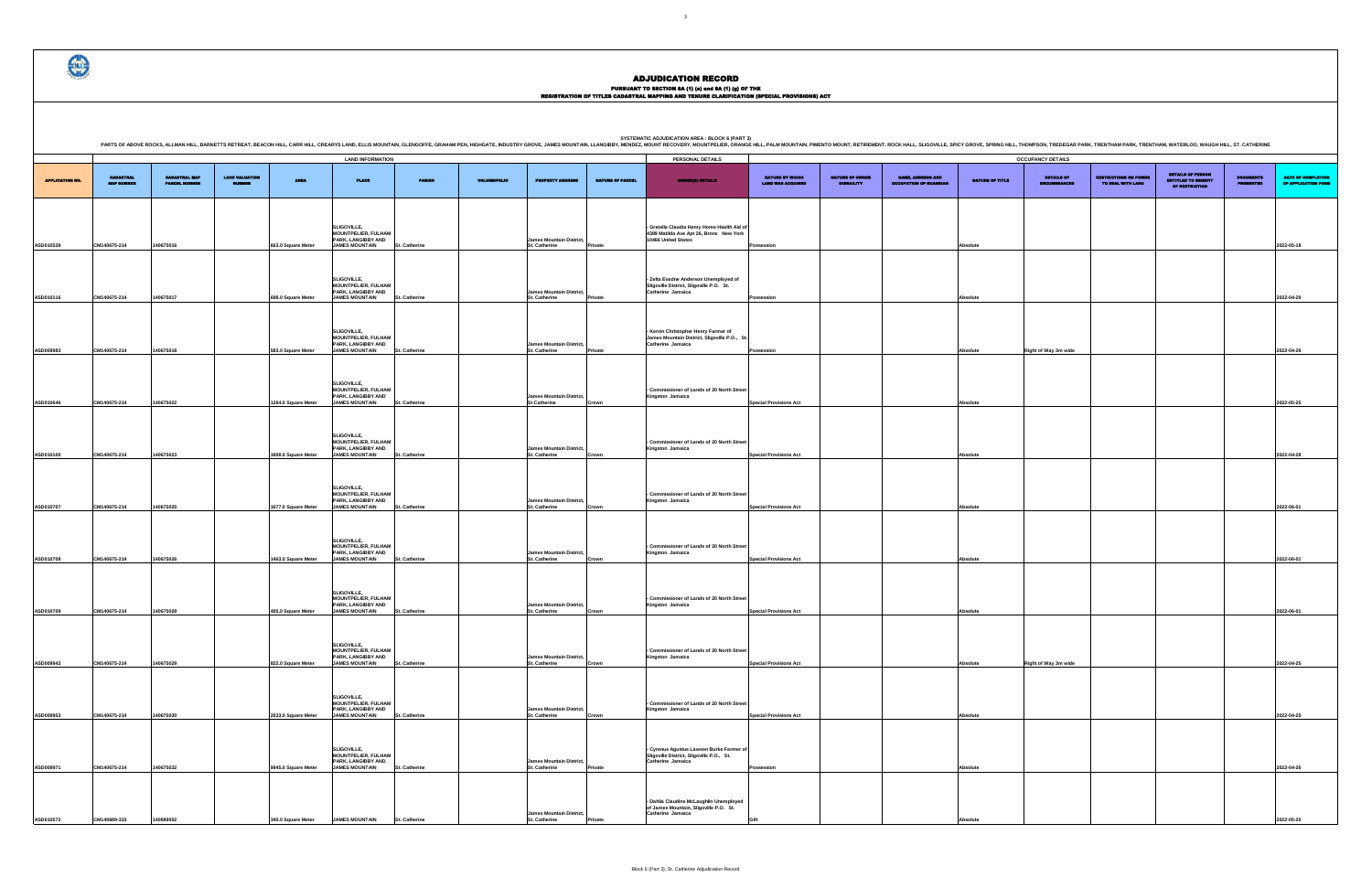# PURSUANT TO SECTION 8A (1) (0) and 8A (1) (g) OF THE<br>REGISTRATION OF TITLES CADASTRAL MAPPING AND TENURE CLARIFICATION (SPECIAL PROVISIONS) ACT

DETAILS OF ENCUMBRANCES RESTRICTIONS ON POWER TO DEAL WITH LAND DETAILS OF PERSON ENTITLED TO BENEFIT OF RESTRICTION DOCUMENTS PRESENTED DATE OF COMPLETION OF APPLICATION FORM **Possession Absolute 2022-05-18 Possession Absolute 2022-04-29 Possession Right of Way 3m wide Right of Way 3m wide Right of Way 3m wide 2022-04-26 Special Provisions Act Absolute 2022-05-25 Special Provisions Act Absolute 2022-04-28 Special Provisions Act Absolute 2022-06-01 Special Provisions Act Absolute 2022-06-01 Special Provisions Act Absolute 2022-06-01 Right of Way 3m wide 2022-04-25 Special Provisions Act Absolute 2022-04-25 Possession Absolute 2022-04-26 Gift Absolute 2022-05-20**

.<br>NG HILL, THOMPSON, TREDEGAR PARK, TRENTHAM PARK, TRENTHAM, WATERLOO, WAUGH HILL, ST. CATHERINE

|                        |                                       |                                              |                                 |                     | <b>LAND INFORMATION</b>                                                                  |                      |                     |                                                         |                         | PERSONAL DETAILS                                                                                              |                                                    |                                             |                                                            |                        | <b>OCCUPANCY DETAILS</b>               |
|------------------------|---------------------------------------|----------------------------------------------|---------------------------------|---------------------|------------------------------------------------------------------------------------------|----------------------|---------------------|---------------------------------------------------------|-------------------------|---------------------------------------------------------------------------------------------------------------|----------------------------------------------------|---------------------------------------------|------------------------------------------------------------|------------------------|----------------------------------------|
| <b>APPLICATION NO.</b> | <b>CADASTRAL</b><br><b>MAP NUMBER</b> | <b>CADASTRAL MAP</b><br><b>PARCEL HUMBER</b> | <b>LAND VALUATION</b><br>MUMBER | <b>AREA</b>         | <b>PLACE</b>                                                                             | <b>PARISH</b>        | <b>VOLUME/FOLIO</b> | <b>PROPERTY ADDRESS</b>                                 | <b>NATURE OF PARCEL</b> | <b>OWNER(S) DETAILS</b>                                                                                       | <b>NATURE BY WHICH</b><br><b>LAND WAS ACQUIRED</b> | <b>NATURE OF OWNER</b><br><b>DISBAILITY</b> | <b>MARIE, ADDRESS AND</b><br><b>OCCUPATION OF GUARDIAN</b> | <b>NATURE OF TITLE</b> | <b>DETAILS OF</b><br><b>INCUMBRANC</b> |
|                        |                                       |                                              |                                 |                     |                                                                                          |                      |                     |                                                         |                         |                                                                                                               |                                                    |                                             |                                                            |                        |                                        |
| ASD010539              | CM140675-214                          | 140675016                                    |                                 | 663.0 Square Meter  | SLIGOVILLE,<br><b>MOUNTPELIER, FULHAM</b><br>PARK, LANGIBBY AND<br><b>JAMES MOUNTAIN</b> | <b>St. Catherine</b> |                     | <b>James Mountain District,</b><br>St. Catherine        | Private                 | - Gretella Claudia Henry Home Health Aid of<br>4389 Matilda Ave Apt 26, Bronx New York<br>10466 United States | Possession                                         |                                             |                                                            | Absolute               |                                        |
|                        |                                       |                                              |                                 |                     | SLIGOVILLE,                                                                              |                      |                     |                                                         |                         | - Zelta Evadne Anderson Unemployed of                                                                         |                                                    |                                             |                                                            |                        |                                        |
| ASD010116              | CM140675-214                          | 140675017                                    |                                 | 698.0 Square Meter  | <b>MOUNTPELIER, FULHAM</b><br>PARK, LANGIBBY AND<br><b>JAMES MOUNTAIN</b>                | St. Catherine        |                     | <b>James Mountain District,</b><br>St. Catherine        | Private                 | Sligoville District, Sligoville P.O. St.<br>Catherine Jamaica                                                 | Possession                                         |                                             |                                                            | <b>Absolute</b>        |                                        |
| ASD009983              | CM140675-214                          | 140675018                                    |                                 | 583.0 Square Meter  | SLIGOVILLE,<br>MOUNTPELIER, FULHAM<br>PARK, LANGIBBY AND<br><b>JAMES MOUNTAIN</b>        | St. Catherine        |                     | <b>James Mountain District,</b><br>St. Catherine        | Private                 | - Kervin Christopher Henry Farmer of<br>James Mountain District, Sligoville P.O., St.<br>Catherine Jamaica    | Possession                                         |                                             |                                                            | Absolute               | Right of Way 3m wi                     |
|                        |                                       |                                              |                                 |                     |                                                                                          |                      |                     |                                                         |                         |                                                                                                               |                                                    |                                             |                                                            |                        |                                        |
| ASD010646              | CM140675-214                          | 140675022                                    |                                 | 1264.0 Square Meter | SLIGOVILLE,<br><b>MOUNTPELIER, FULHAM</b><br>PARK, LANGIBBY AND<br><b>JAMES MOUNTAIN</b> | <b>St. Catherine</b> |                     | <b>James Mountain District,</b><br><b>St Catherine</b>  | Crown                   | - Commissioner of Lands of 20 North Street<br>Kingston Jamaica                                                | <b>Special Provisions Act</b>                      |                                             |                                                            | <b>Absolute</b>        |                                        |
| ASD010100              | CM140675-214                          | 140675023                                    |                                 | 1808.0 Square Meter | SLIGOVILLE,<br><b>MOUNTPELIER, FULHAM</b><br>PARK, LANGIBBY AND<br><b>JAMES MOUNTAIN</b> | <b>St. Catherine</b> |                     | <b>James Mountain District,</b><br>St. Catherine        | Crown                   | - Commissioner of Lands of 20 North Street<br>Kingston Jamaica                                                | <b>Special Provisions Act</b>                      |                                             |                                                            | Absolute               |                                        |
| ASD010707              | CM140675-214                          | 140675025                                    |                                 | 1677.0 Square Meter | SLIGOVILLE,<br><b>MOUNTPELIER, FULHAM</b><br>PARK, LANGIBBY AND<br><b>JAMES MOUNTAIN</b> | St. Catherine        |                     | <b>James Mountain District,</b><br>St. Catherine        | Crown                   | - Commissioner of Lands of 20 North Street<br>Kingston Jamaica                                                | <b>Special Provisions Act</b>                      |                                             |                                                            | Absolute               |                                        |
|                        |                                       |                                              |                                 |                     | SLIGOVILLE,<br><b>MOUNTPELIER, FULHAM</b><br>PARK, LANGIBBY AND                          |                      |                     | <b>James Mountain District,</b>                         |                         | - Commissioner of Lands of 20 North Street<br>Kingston Jamaica                                                |                                                    |                                             |                                                            |                        |                                        |
| ASD010708              | CM140675-214                          | 140675026                                    |                                 | 1463.0 Square Meter | <b>JAMES MOUNTAIN</b>                                                                    | St. Catherine        |                     | St. Catherine                                           | Crown                   |                                                                                                               | <b>Special Provisions Act</b>                      |                                             |                                                            | Absolute               |                                        |
| ASD010709              | CM140675-214                          | 140675028                                    |                                 | 405.0 Square Meter  | SLIGOVILLE,<br><b>MOUNTPELIER, FULHAM</b><br>PARK, LANGIBBY AND<br><b>JAMES MOUNTAIN</b> | St. Catherine        |                     | <b>James Mountain District,</b><br>St. Catherine        | Crown                   | - Commissioner of Lands of 20 North Street<br>Kingston Jamaica                                                | <b>Special Provisions Act</b>                      |                                             |                                                            | Absolute               |                                        |
|                        |                                       |                                              |                                 |                     | SLIGOVILLE,<br><b>MOUNTPELIER, FULHAM<br/>PARK, LANGIBBY AND</b>                         |                      |                     | <b>James Mountain District,</b>                         |                         | - Commissioner of Lands of 20 North Street<br>Kingston Jamaica                                                |                                                    |                                             |                                                            |                        |                                        |
| ASD009943              | CM140675-214                          | 140675029                                    |                                 | 822.0 Square Meter  | <b>JAMES MOUNTAIN</b>                                                                    | St. Catherine        |                     | St. Catherine                                           | Crown                   |                                                                                                               | <b>Special Provisions Act</b>                      |                                             |                                                            | Absolute               | Right of Way 3m wi                     |
| ASD009953              | CM140675-214                          | 140675030                                    |                                 | 2033.0 Square Meter | SLIGOVILLE,<br><b>MOUNTPELIER, FULHAM</b><br>PARK, LANGIBBY AND<br><b>JAMES MOUNTAIN</b> | St. Catherine        |                     | <b>James Mountain District,</b><br>St. Catherine        | Crown                   | - Commissioner of Lands of 20 North Street<br>Kingston Jamaica                                                | <b>Special Provisions Act</b>                      |                                             |                                                            | Absolute               |                                        |
| ASD009971              | CM140675-214                          | 140675032                                    |                                 | 9945.0 Square Meter | SLIGOVILLE,<br><b>MOUNTPELIER, FULHAM</b><br>PARK, LANGIBBY AND<br><b>JAMES MOUNTAIN</b> | St. Catherine        |                     | James Mountain District,<br>St. Catherine               | Private                 | - Cyrenus Agustus Lawson Burke Farmer of<br>Sligoville District, Sligoville P.O., St.<br>Catherine Jamaica    | Possession                                         |                                             |                                                            | Absolute               |                                        |
| ASD010572              | CM140689-333                          | 140689002                                    |                                 | 340.0 Square Meter  | <b>JAMES MOUNTAIN</b>                                                                    | St. Catherine        |                     | <b>James Mountain District,</b><br><b>St. Catherine</b> | Private                 | - Dahlia Claudine McLaughlin Unemployed<br>of James Mountain, Sligoville P.O. St.<br>Catherine Jamaica        |                                                    |                                             |                                                            | Absolute               |                                        |

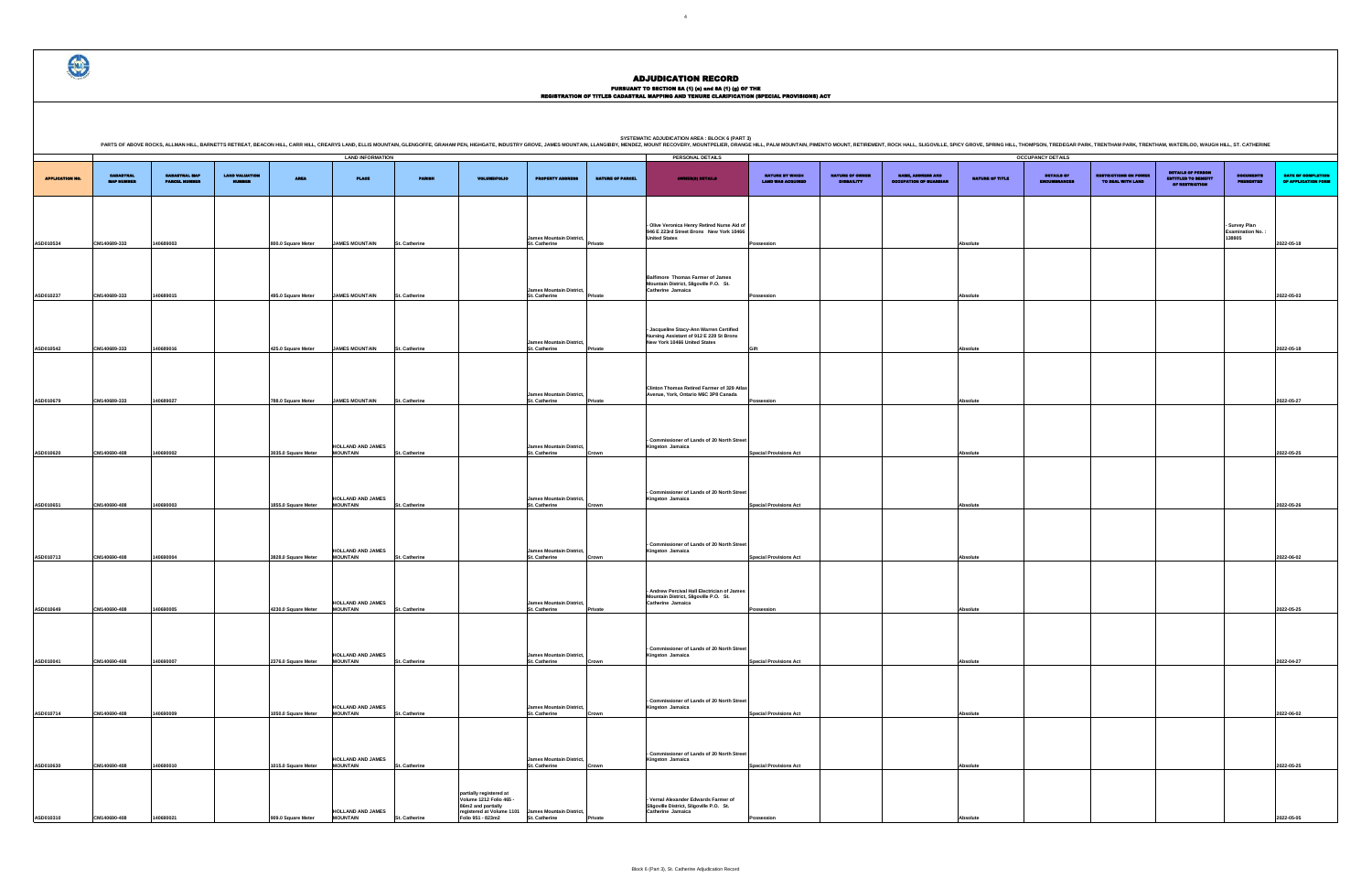# PURSUANT TO SECTION 8A (1) (0) and 8A (1) (g) OF THE<br>REGISTRATION OF TITLES CADASTRAL MAPPING AND TENURE CLARIFICATION (SPECIAL PROVISIONS) ACT

DETAILS OF ENCUMBRANCES RESTRICTIONS ON POWER TO DEAL WITH LAND DETAILS OF PERSON ENTITLED TO BENEFIT OF RESTRICTION DOCUMENTS PRESENTED DATE OF COMPLETION OF APPLICATION FORM **- Survey Plan Examination No. : 138805 2022-05-18 Possession Absolute 2022-05-03 Gift Absolute 2022-05-18 Possession Absolute 2022-05-27 Special Provisions Act Absolute 2022-05-25 Special Provisions Act Absolute 2022-05-26 Special Provisions Act Absolute 2022-06-02 Possession Absolute 2022-05-25 Special Provisions Act Absolute 2022-04-27 Special Provisions Act Absolute 2022-06-02 Special Provisions Act Absolute 2022-05-25 Possession Absolute 2022-05-05**

PARTS OF ABOVE ROCKS, ALLMAN HILL, BARNETTS RETREAT, BEACON HILL, CARR HILL, CARR HILL, CARR HILL, CARR HILL, CARR HILL, CARR HILL, CARR HILL, CARR HILL, CARR HILL, CARR HILL, CARR HILL, CARR HILL, CARR HILL, CARR HILL, SI

|                        |                                       |                                              |                       |                     | <b>LAND INFORMATION</b>                     |                      |                                                                                                                            |                                                         |                         | PERSONAL DETAILS                                                                                                   |                                             |                                      |                                                           |                 | <b>OCCUPANCY DETAILS</b> |
|------------------------|---------------------------------------|----------------------------------------------|-----------------------|---------------------|---------------------------------------------|----------------------|----------------------------------------------------------------------------------------------------------------------------|---------------------------------------------------------|-------------------------|--------------------------------------------------------------------------------------------------------------------|---------------------------------------------|--------------------------------------|-----------------------------------------------------------|-----------------|--------------------------|
| <b>APPLICATION NO.</b> | <b>CADASTRAL</b><br><b>MAP NUMBER</b> | <b>CADASTRAL MAP</b><br><b>PARCEL NUMBER</b> | <b>LAND VALUATION</b> | <b>AREA</b>         | <b>PLACE</b>                                | <b>PARISH</b>        | <b>VOLUME/FOLIO</b>                                                                                                        | <b>PROPERTY ADDRESS</b>                                 | <b>NATURE OF PARCEL</b> | <b>OWNER(8) DETAILS</b>                                                                                            | NATURE BY WHICH<br><b>LAND WAS ACQUIRED</b> | NATURE OF OWNER<br><b>DISBAILITY</b> | <b>NAME, ADDRESS AND</b><br><b>OCCUPATION OF GUARDIAN</b> | NATURE OF TITLE | DETAILS OF<br>ENCUMBRANC |
| ASD010534              | CM140689-333                          | 140689003                                    |                       | 800.0 Square Meter  | <b>JAMES MOUNTAIN</b>                       | St. Catherine        |                                                                                                                            | <b>James Mountain District,</b><br>St. Catherine        | Private                 | - Olive Veronica Henry Retired Nurse Aid of<br>946 E 223rd Street Bronx New York 10466<br><b>United States</b>     | Possession                                  |                                      |                                                           | Absolute        |                          |
| ASD010237              | CM140689-333                          | 140689015                                    |                       | 495.0 Square Meter  | <b>JAMES MOUNTAIN</b>                       | St. Catherine        |                                                                                                                            | <b>James Mountain District,</b><br>St. Catherine        | Private                 | <b>Balfimore Thomas Farmer of James</b><br>Mountain District, Sligoville P.O. St.<br>Catherine Jamaica             | Possession                                  |                                      |                                                           | Absolute        |                          |
| ASD010542              | CM140689-333                          | 140689016                                    |                       | 425.0 Square Meter  | <b>JAMES MOUNTAIN</b>                       | <b>St. Catherine</b> |                                                                                                                            | <b>James Mountain District,</b><br>St. Catherine        | Private                 | - Jacqueline Stacy-Ann Warren Certified<br>Nursing Assistant of 912 E 228 St Bronx<br>New York 10466 United States | Gift                                        |                                      |                                                           | Absolute        |                          |
| ASD010679              | CM140689-333                          | 140689027                                    |                       | 788.0 Square Meter  | <b>JAMES MOUNTAIN</b>                       | St. Catherine        |                                                                                                                            | James Mountain District,<br>St. Catherine               | Private                 | Clinton Thomas Retired Farmer of 329 Atlas<br>Avenue, York, Ontario M6C 3P8 Canada                                 | Possession                                  |                                      |                                                           | Absolute        |                          |
| ASD010620              | CM140690-408                          | 140690002                                    |                       | 3035.0 Square Meter | <b>HOLLAND AND JAMES</b><br><b>MOUNTAIN</b> | St. Catherine        |                                                                                                                            | <b>James Mountain District,</b><br>St. Catherine        | Crown                   | - Commissioner of Lands of 20 North Street<br>Kingston Jamaica                                                     | <b>Special Provisions Act</b>               |                                      |                                                           | Absolute        |                          |
| ASD010651              | CM140690-408                          | 140690003                                    |                       | 1855.0 Square Meter | <b>HOLLAND AND JAMES</b><br><b>MOUNTAIN</b> | St. Catherine        |                                                                                                                            | <b>James Mountain District,</b><br>St. Catherine        | Crown                   | - Commissioner of Lands of 20 North Street<br>Kingston Jamaica                                                     | <b>Special Provisions Act</b>               |                                      |                                                           | Absolute        |                          |
| ASD010713              | CM140690-408                          | 140690004                                    |                       | 3828.0 Square Meter | <b>HOLLAND AND JAMES</b><br><b>MOUNTAIN</b> | St. Catherine        |                                                                                                                            | <b>James Mountain District,</b><br>St. Catherine        | Crown                   | - Commissioner of Lands of 20 North Street<br>Kingston Jamaica                                                     | <b>Special Provisions Act</b>               |                                      |                                                           | Absolute        |                          |
| ASD010649              | CM140690-408                          | 140690005                                    |                       | 4230.0 Square Meter | <b>HOLLAND AND JAMES<br/>MOUNTAIN</b>       | St. Catherine        |                                                                                                                            | <b>James Mountain District,</b><br><b>St. Catherine</b> | Private                 | - Andrew Percival Hall Electrician of James<br>Mountain District, Sligoville P.O. St.<br>Catherine Jamaica         | Possession                                  |                                      |                                                           | Absolute        |                          |
| ASD010041              | CM140690-408                          | 140690007                                    |                       | 2376.0 Square Meter | <b>HOLLAND AND JAMES</b><br><b>MOUNTAIN</b> | St. Catherine        |                                                                                                                            | <b>James Mountain District,</b><br>St. Catherine        | Crown                   | ssioner of Lands of 20 North Stree<br>Kingston Jamaica                                                             | <b>Special Provisions Act</b>               |                                      |                                                           | Absolute        |                          |
| ASD010714              | CM140690-408                          | 140690009                                    |                       | 1050.0 Square Meter | HOLLAND AND JAMES<br><b>MOUNTAIN</b>        | St. Catherine        |                                                                                                                            | <b>James Mountain District,</b><br>St. Catherine        | Crown                   | - Commissioner of Lands of 20 North Street<br>Kingston Jamaica                                                     | <b>Special Provisions Act</b>               |                                      |                                                           | Absolute        |                          |
| ASD010630              | CM140690-408                          | 140690010                                    |                       | 1015.0 Square Meter | <b>HOLLAND AND JAMES</b><br><b>MOUNTAIN</b> | St. Catherine        |                                                                                                                            | <b>James Mountain District,</b><br>St. Catherine        | Crown                   | - Commissioner of Lands of 20 North Street<br>Kingston Jamaica                                                     | <b>Special Provisions Act</b>               |                                      |                                                           | Absolute        |                          |
| ASD010310              | CM140690-408                          | 140690021                                    |                       | 909.0 Square Meter  | <b>HOLLAND AND JAMES</b><br><b>MOUNTAIN</b> | St. Catherine        | partially registered at<br>Volume 1212 Folio 465 -<br>86m2 and partially<br>registered at Volume 1101<br>Folio 951 - 823m2 | <b>James Mountain District,</b><br>St. Catherine        | Private                 | Vernal Alexander Edwards Farmer of<br>Sligoville District, Sligoville P.O. St.<br>Catherine Jamaica                | Possession                                  |                                      |                                                           | Absolute        |                          |

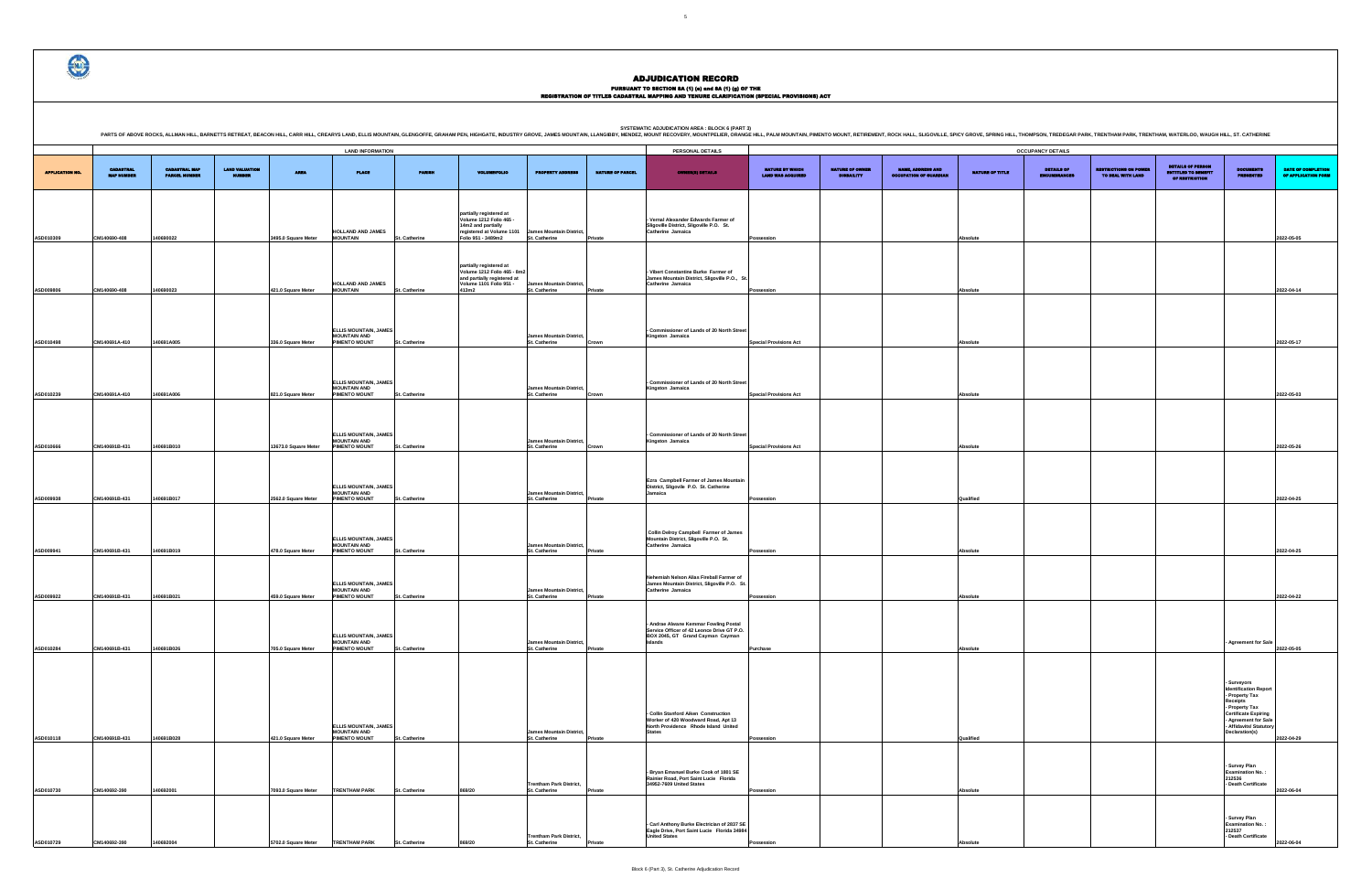# PURSUANT TO SECTION 8A (1) (0) and 8A (1) (g) OF THE<br>REGISTRATION OF TITLES CADASTRAL MAPPING AND TENURE CLARIFICATION (SPECIAL PROVISIONS) ACT

| $=$ $m_{\text{eff}}$ , and model and $\sim$ |                                      | mourr, RETIREMENT, ROOKTIALE, OLIOOVILLE, OFIOT OROVE, OFINIO HILE, THOMEOON, TREDEOART ARR, TRENTHAM FARR, HALFHAM, WATERLOO, WAOOFFIILE, OT. OATHERINE |                        | <b>OCCUPANCY DETAILS</b>          |                                                   |                                              |                                                          |                                           |
|---------------------------------------------|--------------------------------------|----------------------------------------------------------------------------------------------------------------------------------------------------------|------------------------|-----------------------------------|---------------------------------------------------|----------------------------------------------|----------------------------------------------------------|-------------------------------------------|
|                                             |                                      |                                                                                                                                                          |                        |                                   |                                                   | DETAILS OF PERSON                            |                                                          |                                           |
| NATURE BY WHICH<br><b>LAND WAS ACQUIRED</b> | NATURE OF OWNER<br><b>DISBAILITY</b> | <b>NAME, ADDRESS AND</b><br><b>OCCUPATION OF GUARDIAN</b>                                                                                                | <b>NATURE OF TITLE</b> | DETAILS OF<br><b>ENCUMBRANCES</b> | <b>RESTRICTIONS ON POWER</b><br>TO DEAL WITH LAND | <b>ENTITLED TO BENEFIT</b><br>OF RESTRICTION | <b>DOCUMENTS</b><br><b>PRESENTED</b>                     | DATE OF COMPLETION<br>OF APPLICATION FORM |
|                                             |                                      |                                                                                                                                                          |                        |                                   |                                                   |                                              |                                                          |                                           |
|                                             |                                      |                                                                                                                                                          |                        |                                   |                                                   |                                              |                                                          |                                           |
|                                             |                                      |                                                                                                                                                          |                        |                                   |                                                   |                                              |                                                          |                                           |
| Possession                                  |                                      |                                                                                                                                                          |                        |                                   |                                                   |                                              |                                                          |                                           |
|                                             |                                      |                                                                                                                                                          | Absolute               |                                   |                                                   |                                              |                                                          | 2022-05-05                                |
|                                             |                                      |                                                                                                                                                          |                        |                                   |                                                   |                                              |                                                          |                                           |
|                                             |                                      |                                                                                                                                                          |                        |                                   |                                                   |                                              |                                                          |                                           |
| Possession                                  |                                      |                                                                                                                                                          | Absolute               |                                   |                                                   |                                              |                                                          | 2022-04-14                                |
|                                             |                                      |                                                                                                                                                          |                        |                                   |                                                   |                                              |                                                          |                                           |
|                                             |                                      |                                                                                                                                                          |                        |                                   |                                                   |                                              |                                                          |                                           |
|                                             |                                      |                                                                                                                                                          |                        |                                   |                                                   |                                              |                                                          |                                           |
| <b>Special Provisions Act</b>               |                                      |                                                                                                                                                          | Absolute               |                                   |                                                   |                                              |                                                          | 2022-05-17                                |
|                                             |                                      |                                                                                                                                                          |                        |                                   |                                                   |                                              |                                                          |                                           |
|                                             |                                      |                                                                                                                                                          |                        |                                   |                                                   |                                              |                                                          |                                           |
|                                             |                                      |                                                                                                                                                          |                        |                                   |                                                   |                                              |                                                          |                                           |
| <b>Special Provisions Act</b>               |                                      |                                                                                                                                                          | Absolute               |                                   |                                                   |                                              |                                                          | 2022-05-03                                |
|                                             |                                      |                                                                                                                                                          |                        |                                   |                                                   |                                              |                                                          |                                           |
|                                             |                                      |                                                                                                                                                          |                        |                                   |                                                   |                                              |                                                          |                                           |
| <b>Special Provisions Act</b>               |                                      |                                                                                                                                                          | Absolute               |                                   |                                                   |                                              |                                                          | 2022-05-26                                |
|                                             |                                      |                                                                                                                                                          |                        |                                   |                                                   |                                              |                                                          |                                           |
|                                             |                                      |                                                                                                                                                          |                        |                                   |                                                   |                                              |                                                          |                                           |
|                                             |                                      |                                                                                                                                                          |                        |                                   |                                                   |                                              |                                                          |                                           |
| Possession                                  |                                      |                                                                                                                                                          | Qualified              |                                   |                                                   |                                              |                                                          | 2022-04-25                                |
|                                             |                                      |                                                                                                                                                          |                        |                                   |                                                   |                                              |                                                          |                                           |
|                                             |                                      |                                                                                                                                                          |                        |                                   |                                                   |                                              |                                                          |                                           |
|                                             |                                      |                                                                                                                                                          |                        |                                   |                                                   |                                              |                                                          |                                           |
| Possession                                  |                                      |                                                                                                                                                          | Absolute               |                                   |                                                   |                                              |                                                          | 2022-04-25                                |
|                                             |                                      |                                                                                                                                                          |                        |                                   |                                                   |                                              |                                                          |                                           |
|                                             |                                      |                                                                                                                                                          |                        |                                   |                                                   |                                              |                                                          |                                           |
| Possession                                  |                                      |                                                                                                                                                          | Absolute               |                                   |                                                   |                                              |                                                          | 2022-04-22                                |
|                                             |                                      |                                                                                                                                                          |                        |                                   |                                                   |                                              |                                                          |                                           |
|                                             |                                      |                                                                                                                                                          |                        |                                   |                                                   |                                              |                                                          |                                           |
|                                             |                                      |                                                                                                                                                          |                        |                                   |                                                   |                                              | <b>Agreement for Sale</b>                                | 2022-05-05                                |
| Purchase                                    |                                      |                                                                                                                                                          | Absolute               |                                   |                                                   |                                              |                                                          |                                           |
|                                             |                                      |                                                                                                                                                          |                        |                                   |                                                   |                                              |                                                          |                                           |
|                                             |                                      |                                                                                                                                                          |                        |                                   |                                                   |                                              | Surveyors<br><b>Identification Report</b>                |                                           |
|                                             |                                      |                                                                                                                                                          |                        |                                   |                                                   |                                              | - Property Tax<br>Receipts                               |                                           |
|                                             |                                      |                                                                                                                                                          |                        |                                   |                                                   |                                              | - Property Tax<br>- Property Tax<br>- Agreement for Sale |                                           |
|                                             |                                      |                                                                                                                                                          |                        |                                   |                                                   |                                              | <b>Affidavits/ Statutory</b><br>Declaration(s)           |                                           |
| Possession                                  |                                      |                                                                                                                                                          | Qualified              |                                   |                                                   |                                              |                                                          | 2022-04-29                                |
|                                             |                                      |                                                                                                                                                          |                        |                                   |                                                   |                                              |                                                          |                                           |
|                                             |                                      |                                                                                                                                                          |                        |                                   |                                                   |                                              | - Survey Plan<br><b>Examination No.:</b>                 |                                           |
|                                             |                                      |                                                                                                                                                          |                        |                                   |                                                   |                                              | 212536<br>Death Certificate                              |                                           |
| Possession                                  |                                      |                                                                                                                                                          | Absolute               |                                   |                                                   |                                              |                                                          | 2022-06-04                                |
|                                             |                                      |                                                                                                                                                          |                        |                                   |                                                   |                                              |                                                          |                                           |
|                                             |                                      |                                                                                                                                                          |                        |                                   |                                                   |                                              | Survey Plan<br><b>Examination No.:</b><br>212537         |                                           |
| Possession                                  |                                      |                                                                                                                                                          | Absolute               |                                   |                                                   |                                              | Death Certificate                                        | 2022-06-04                                |



|                        |                                       |                                              |                                        |                      | <b>LAND INFORMATION</b>                                              |                      |                                                                                                                             |                                                        |                         | PERSONAL DETAILS                                                                                                                     |                                             |                                      |                                                           |                        | <b>OCCUPANCY DETAILS</b>      |                                                   |                                                                          |                                                                                                                                                                                            |
|------------------------|---------------------------------------|----------------------------------------------|----------------------------------------|----------------------|----------------------------------------------------------------------|----------------------|-----------------------------------------------------------------------------------------------------------------------------|--------------------------------------------------------|-------------------------|--------------------------------------------------------------------------------------------------------------------------------------|---------------------------------------------|--------------------------------------|-----------------------------------------------------------|------------------------|-------------------------------|---------------------------------------------------|--------------------------------------------------------------------------|--------------------------------------------------------------------------------------------------------------------------------------------------------------------------------------------|
| <b>APPLICATION NO.</b> | <b>CABASTRAL</b><br><b>MAP NUMBER</b> | <b>CADASTRAL MAP</b><br><b>PARCEL HUMBER</b> | <b>LAND VALUATION</b><br><b>MUMBER</b> | <b>AREA</b>          | <b>PLACE</b>                                                         | <b>PARISH</b>        | <b>VOLUME/FOLIO</b>                                                                                                         | <b>PROPERTY ADDRESS</b>                                | <b>NATURE OF PARCEL</b> | <b>OWNER(S) DETAILS</b>                                                                                                              | NATURE BY WHICH<br><b>LAND WAS ACQUIRED</b> | NATURE OF OWNER<br><b>DISBAILITY</b> | <b>NAME, ADDRESS AND</b><br><b>OCCUPATION OF GUARDIAN</b> | <b>NATURE OF TITLE</b> | DETAILS OF<br><b>IMBRANCE</b> | <b>RESTRICTIONS ON POWER</b><br>TO DEAL WITH LAND | <b>DETAILS OF PERSON</b><br><b>ENTITLED TO BENEFIT</b><br>OF RESTRICTION | <b>DOCUMENTS</b><br><b>PRESENTED</b>                                                                                                                                                       |
| ASD010309              | CM140690-408                          | 140690022                                    |                                        | 3495.0 Square Meter  | HOLLAND AND JAMES<br><b>MOUNTAIN</b>                                 | St. Catherine        | partially registered at<br>Volume 1212 Folio 465 -<br>14m2 and partially<br>registered at Volume 1101<br>Folio 951 - 3489m2 | <b>James Mountain District,</b><br>St. Catherine       | Private                 | Vernal Alexander Edwards Farmer of<br>Sligoville District, Sligoville P.O. St.<br>Catherine Jamaica                                  | Possession                                  |                                      |                                                           | Absolute               |                               |                                                   |                                                                          |                                                                                                                                                                                            |
|                        |                                       |                                              |                                        |                      |                                                                      |                      | partially registered at<br>Volume 1212 Folio 465 - 8m2                                                                      |                                                        |                         | - Vibert Constantine Burke Farmer of                                                                                                 |                                             |                                      |                                                           |                        |                               |                                                   |                                                                          |                                                                                                                                                                                            |
| ASD009806              | CM140690-408                          | 140690023                                    |                                        | 421.0 Square Meter   | HOLLAND AND JAMES<br><b>MOUNTAIN</b>                                 | St. Catherine        | and partially registered at<br>Volume 1101 Folio 951 -<br>413m2                                                             | <b>James Mountain District,</b><br>St. Catherine       | Private                 | James Mountain District, Sligoville P.O., St.<br>Catherine Jamaica                                                                   | <b>Possession</b>                           |                                      |                                                           | Absolute               |                               |                                                   |                                                                          |                                                                                                                                                                                            |
| ASD010498              | CM140691A-410                         | 140691A005                                   |                                        | 336.0 Square Meter   | ELLIS MOUNTAIN, JAMES<br><b>MOUNTAIN AND</b><br>PIMENTO MOUNT        | St. Catherine        |                                                                                                                             | <b>James Mountain District,</b><br>St. Catherine       | Crown                   | - Commissioner of Lands of 20 North Street<br>Kingston Jamaica                                                                       | <b>Special Provisions Act</b>               |                                      |                                                           | Absolute               |                               |                                                   |                                                                          |                                                                                                                                                                                            |
| ASD010239              | CM140691A-410                         | 140691A006                                   |                                        | 821.0 Square Meter   | ELLIS MOUNTAIN, JAMES<br><b>MOUNTAIN AND</b><br>PIMENTO MOUNT        | St. Catherine        |                                                                                                                             | <b>James Mountain District,</b><br>St. Catherine       | Crown                   | - Commissioner of Lands of 20 North Street<br>Kingston Jamaica                                                                       | <b>Special Provisions Act</b>               |                                      |                                                           | Absolute               |                               |                                                   |                                                                          |                                                                                                                                                                                            |
|                        |                                       |                                              |                                        |                      | <b>ELLIS MOUNTAIN, JAMES</b><br><b>MOUNTAIN AND</b>                  |                      |                                                                                                                             | <b>James Mountain District,</b>                        |                         | - Commissioner of Lands of 20 North Street<br>Kingston Jamaica                                                                       |                                             |                                      |                                                           |                        |                               |                                                   |                                                                          |                                                                                                                                                                                            |
| ASD010666              | CM140691B-431                         | 140691B010                                   |                                        | 13673.0 Square Meter | PIMENTO MOUNT                                                        | St. Catherine        |                                                                                                                             | <b>St. Catherine</b>                                   | Crown                   |                                                                                                                                      | <b>Special Provisions Act</b>               |                                      |                                                           | Absolute               |                               |                                                   |                                                                          |                                                                                                                                                                                            |
| ASD009938              | CM140691B-431                         | 140691B017                                   |                                        | 2562.0 Square Meter  | <b>ELLIS MOUNTAIN, JAMES</b><br><b>MOUNTAIN AND</b><br>PIMENTO MOUNT | St. Catherine        |                                                                                                                             | <b>James Mountain District,</b><br>St. Catherine       | Private                 | Ezra Campbell Farmer of James Mountain<br>District, Sligovile P.O. St. Catherine<br>Jamaica                                          | Possession                                  |                                      |                                                           | Qualified              |                               |                                                   |                                                                          |                                                                                                                                                                                            |
| ASD009941              | CM140691B-431                         | 140691B019                                   |                                        | 478.0 Square Meter   | <b>ELLIS MOUNTAIN, JAMES</b><br><b>MOUNTAIN AND</b><br>PIMENTO MOUNT | St. Catherine        |                                                                                                                             | <b>James Mountain District,</b><br>St. Catherine       | Private                 | <b>Collin Delroy Campbell Farmer of James</b><br>Mountain District, Sligoville P.O. St.<br>Catherine Jamaica                         | Possession                                  |                                      |                                                           | Absolute               |                               |                                                   |                                                                          |                                                                                                                                                                                            |
| ASD009922              | CM140691B-431                         | 140691B021                                   |                                        | 459.0 Square Meter   | <b>ELLIS MOUNTAIN, JAMES</b><br><b>MOUNTAIN AND</b><br>PIMENTO MOUNT | St. Catherine        |                                                                                                                             | James Mountain District,<br><b>St. Catherine</b>       | Private                 | Nehemiah Nelson Alias Fireball Farmer of<br>James Mountain District, Sligoville P.O. St.<br>Catherine Jamaica                        | <b>Possession</b>                           |                                      |                                                           | Absolute               |                               |                                                   |                                                                          |                                                                                                                                                                                            |
|                        |                                       |                                              |                                        |                      | ELLIS MOUNTAIN, JAMES                                                |                      |                                                                                                                             |                                                        |                         | - Andrae Alwane Kemmar Fowling Postal<br>Service Officer of 42 Leonce Drive GT P.O.<br>BOX 2045, GT Grand Cayman Cayman              |                                             |                                      |                                                           |                        |                               |                                                   |                                                                          |                                                                                                                                                                                            |
| ASD010284              | CM140691B-431                         | 140691B026                                   |                                        | 705.0 Square Meter   | <b>MOUNTAIN AND</b><br>PIMENTO MOUNT                                 | St. Catherine        |                                                                                                                             | <b>James Mountain District,</b><br>St. Catherine       | Private                 | Islands                                                                                                                              | Purchase                                    |                                      |                                                           | Absolute               |                               |                                                   |                                                                          | Agreement for Sa                                                                                                                                                                           |
|                        |                                       | 140691B028                                   |                                        |                      | ELLIS MOUNTAIN, JAMES<br><b>MOUNTAIN AND</b>                         |                      |                                                                                                                             | James Mountain District,                               |                         | - Collin Stanford Aiken Construction<br>Worker of 420 Woodward Road, Apt 13<br>North Providence Rhode Island United<br><b>States</b> |                                             |                                      |                                                           |                        |                               |                                                   |                                                                          | - Surveyors<br><b>Identification Repor</b><br>- Property Tax<br><b>Receipts</b><br>- Property Tax<br>Certificate Expiring<br>- Agreement for Sa<br>- Affidavits/ Statuto<br>Declaration(s) |
| ASD010118              | CM140691B-431                         |                                              |                                        | 421.0 Square Meter   | PIMENTO MOUNT                                                        | St. Catherine        |                                                                                                                             | St. Catherine                                          | Private                 | - Bryan Emanuel Burke Cook of 1801 SE<br>Rainier Road, Port Saint Lucie Florida                                                      | Possession                                  |                                      |                                                           | Qualified              |                               |                                                   |                                                                          | - Survey Plan<br><b>Examination No.</b>                                                                                                                                                    |
| ASD010730              | CM140692-390                          | 140692001                                    |                                        | 7093.0 Square Meter  | <b>TRENTHAM PARK</b>                                                 | St. Catherine        | 869/20                                                                                                                      | <b>Trentham Park District,</b><br><b>St. Catherine</b> | Private                 | 34952-7609 United States                                                                                                             | <b>Possession</b>                           |                                      |                                                           | Absolute               |                               |                                                   |                                                                          | 212536<br>- Death Certificate                                                                                                                                                              |
| ASD010729              | CM140692-390                          | 140692004                                    |                                        |                      | 5702.0 Square Meter   TRENTHAM PARK                                  | <b>St. Catherine</b> | 869/20                                                                                                                      | <b>Trentham Park District,</b><br><b>St. Catherine</b> |                         | - Carl Anthony Burke Electrician of 2837 SE<br>Eagle Drive, Port Saint Lucie Florida 34984<br><b>United States</b>                   |                                             |                                      |                                                           |                        |                               |                                                   |                                                                          | - Survey Plan<br><b>Examination No.:</b><br>212537<br><b>Death Certificate</b>                                                                                                             |

€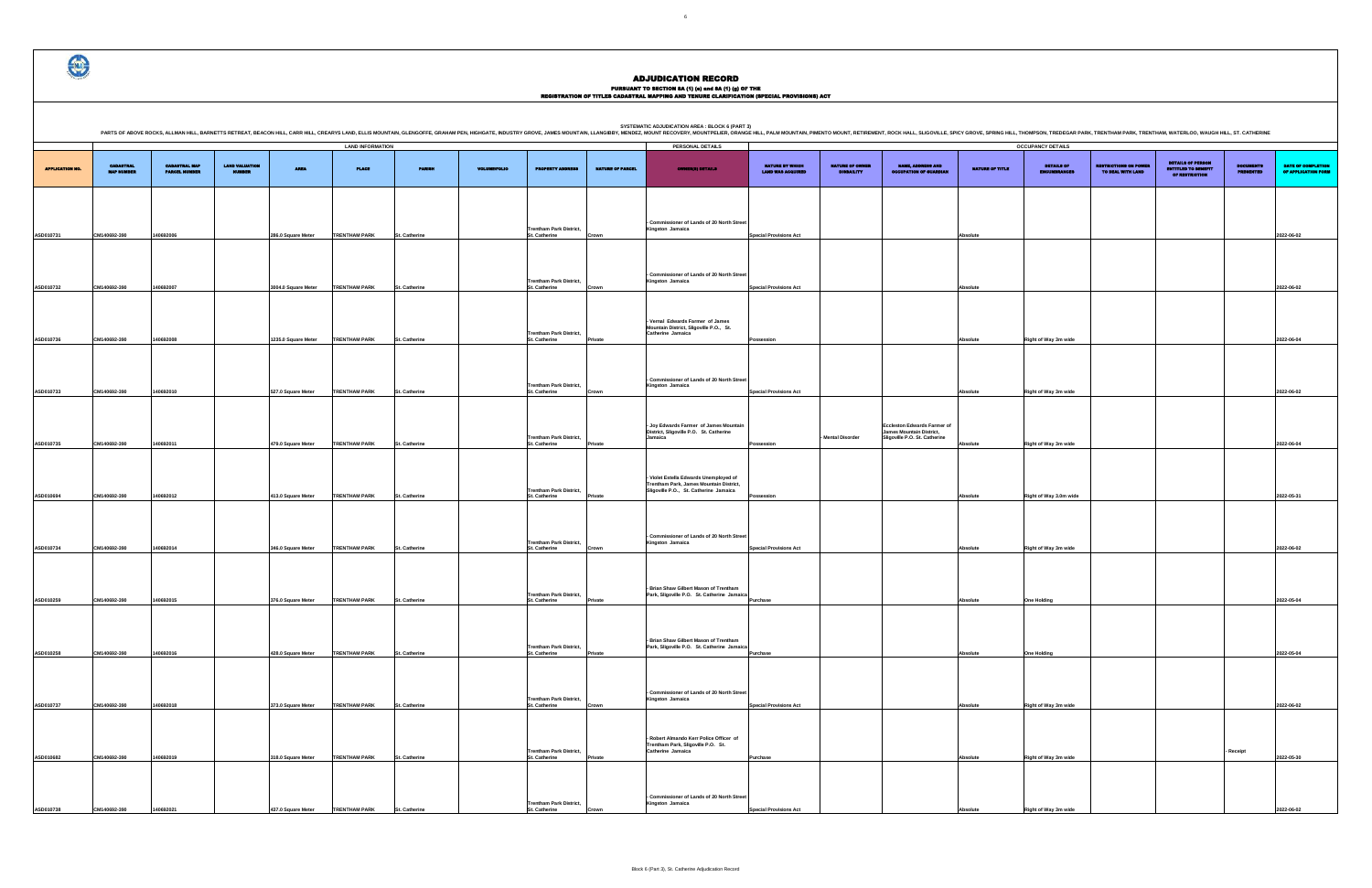|                                       |                                              |                                 |                     |                         |               |                     |                                                 |                         | SYSTEMATIC ADJUDICATION AREA : BLOCK 6 (PART 3)<br>PARTS OF ABOVE ROCKS, ALLMAN HILL, BARNETTS RETREAT, BEACON HILL, CARR HILL, CARR HILL, CARR HILL, CARR HILL, CARR HILL, CARR HILL, CARR HILL, CARRYS LAND, ELLIS MOUNTAIN, eLENGOFFE, GRAHAM PEN, HIGHGATE, INDUSTRY GROVE, M |                                            |                                      |                                                                                                        |                 |                                   |                                                   |                                                                                 |                               |                                                  |
|---------------------------------------|----------------------------------------------|---------------------------------|---------------------|-------------------------|---------------|---------------------|-------------------------------------------------|-------------------------|-----------------------------------------------------------------------------------------------------------------------------------------------------------------------------------------------------------------------------------------------------------------------------------|--------------------------------------------|--------------------------------------|--------------------------------------------------------------------------------------------------------|-----------------|-----------------------------------|---------------------------------------------------|---------------------------------------------------------------------------------|-------------------------------|--------------------------------------------------|
|                                       |                                              |                                 |                     | <b>LAND INFORMATION</b> |               |                     |                                                 |                         | PERSONAL DETAILS                                                                                                                                                                                                                                                                  |                                            |                                      |                                                                                                        |                 | <b>OCCUPANCY DETAILS</b>          |                                                   |                                                                                 |                               |                                                  |
| <b>CABASTRAL</b><br><b>MAP NUMBER</b> | <b>CADASTRAL MAP</b><br><b>PARCEL NUMBER</b> | <b>LAND VALUATION</b><br>NUMBER | <b>AREA</b>         | <b>PLACE</b>            | <b>PARISH</b> | <b>VOLUME/FOLIO</b> | <b>PROPERTY ADDRESS</b>                         | <b>NATURE OF PARCEL</b> | <b>OWNER(S) DETAILS</b>                                                                                                                                                                                                                                                           | NATURE BY WHICH<br><b>LAND WAS ACQUIRE</b> | NATURE OF OWNER<br><b>DISBAILITY</b> | NAME, ADDRESS AND<br><b>CCUPATION OF GUARDIA</b>                                                       | NATURE OF TITLE | DETAILS OF<br><b>ENCUMBRANCES</b> | <b>RESTRICTIONS ON POWER</b><br>TO DEAL WITH LAND | <b>DETAILS OF PERSON</b><br><b>ENTITLED TO BENEFIT</b><br><b>OF RESTRICTION</b> | <b>DOCUMENTS</b><br>PRESENTED | <b>DATE OF COMPLETION</b><br>OF APPLICATION FORM |
| 140692-390                            | 140692006                                    |                                 | 286.0 Square Meter  | <b>TRENTHAM PARK</b>    | St. Catherine |                     | <b>Trentham Park District,</b><br>St. Catherine | Crown                   | - Commissioner of Lands of 20 North Street<br>Kingston Jamaica                                                                                                                                                                                                                    | <b>Special Provisions Act</b>              |                                      |                                                                                                        | Absolute        |                                   |                                                   |                                                                                 |                               | 2022-06-02                                       |
| 140692-390                            | 140692007                                    |                                 | 3004.0 Square Meter | <b>TRENTHAM PARK</b>    | St. Catherine |                     | <b>Trentham Park District,</b><br>St. Catherine | Crown                   | - Commissioner of Lands of 20 North Street<br>Kingston Jamaica                                                                                                                                                                                                                    | <b>Special Provisions Act</b>              |                                      |                                                                                                        | Absolute        |                                   |                                                   |                                                                                 |                               | 2022-06-02                                       |
| 140692-390                            | 140692008                                    |                                 | 1235.0 Square Meter | <b>TRENTHAM PARK</b>    | St. Catherine |                     | <b>Trentham Park District,</b><br>St. Catherine | Private                 | - Vernal Edwards Farmer of James<br>Mountain District, Sligoville P.O., St.<br>Catherine Jamaica                                                                                                                                                                                  | Possession                                 |                                      |                                                                                                        | Absolute        | Right of Way 3m wide              |                                                   |                                                                                 |                               | 2022-06-04                                       |
| 140692-390                            | 140692010                                    |                                 | 527.0 Square Meter  | <b>TRENTHAM PARK</b>    | St. Catherine |                     | <b>Trentham Park District,</b><br>St. Catherine | Crown                   | - Commissioner of Lands of 20 North Street<br>Kingston Jamaica                                                                                                                                                                                                                    | <b>Special Provisions Act</b>              |                                      |                                                                                                        | Absolute        | Right of Way 3m wide              |                                                   |                                                                                 |                               | 2022-06-02                                       |
| 140692-390                            | 140692011                                    |                                 | 479.0 Square Meter  | <b>TRENTHAM PARK</b>    | St. Catherine |                     | <b>Trentham Park District,</b><br>St. Catherine | Private                 | - Joy Edwards Farmer of James Mountain<br>District, Sligoville P.O. St. Catherine<br>Jamaica                                                                                                                                                                                      | Possession                                 | - Mental Disorder                    | <b>Eccleston Edwards Farmer of</b><br><b>James Mountain District,</b><br>Sligoville P.O. St. Catherine | Absolute        | Right of Way 3m wide              |                                                   |                                                                                 |                               | 2022-06-04                                       |
|                                       |                                              |                                 |                     |                         |               |                     | <b>Trentham Park District,</b>                  |                         | - Violet Estella Edwards Unemployed of<br>Trentham Park, James Mountain District,<br>Sligoville P.O., St. Catherine Jamaica                                                                                                                                                       |                                            |                                      |                                                                                                        |                 |                                   |                                                   |                                                                                 |                               |                                                  |
| 140692-390                            | 140692012                                    |                                 | 413.0 Square Meter  | <b>TRENTHAM PARK</b>    | St. Catherine |                     | St. Catherine                                   | Private                 | - Commissioner of Lands of 20 North Street                                                                                                                                                                                                                                        | Possession                                 |                                      |                                                                                                        | Absolute        | Right of Way 3.0m wide            |                                                   |                                                                                 |                               | 2022-05-31                                       |
| 140692-390                            | 140692014                                    |                                 | 346.0 Square Meter  | <b>TRENTHAM PARK</b>    | St. Catherine |                     | <b>Trentham Park District,</b><br>St. Catherine | Crown                   | Kingston Jamaica                                                                                                                                                                                                                                                                  | <b>Special Provisions Act</b>              |                                      |                                                                                                        | Absolute        | Right of Way 3m wide              |                                                   |                                                                                 |                               | 2022-06-02                                       |
| 140692-390                            | 140692015                                    |                                 | 376.0 Square Meter  | <b>TRENTHAM PARK</b>    | St. Catherine |                     | <b>Trentham Park District,</b><br>St. Catherine | Private                 | - Brian Shaw Gilbert Mason of Trentham<br>Park, Sligoville P.O. St. Catherine Jamaica                                                                                                                                                                                             | Purchase                                   |                                      |                                                                                                        | Absolute        | <b>One Holding</b>                |                                                   |                                                                                 |                               | 2022-05-04                                       |
| 140692-390                            | 140692016                                    |                                 | 428.0 Square Meter  | <b>TRENTHAM PARK</b>    | St. Catherine |                     | <b>Trentham Park District,</b><br>St. Catherine | Private                 | - Brian Shaw Gilbert Mason of Trentham<br>Park, Sligoville P.O. St. Catherine Jamaica                                                                                                                                                                                             | Purchase                                   |                                      |                                                                                                        | Absolute        | <b>One Holding</b>                |                                                   |                                                                                 |                               | 2022-05-04                                       |
|                                       |                                              |                                 |                     |                         |               |                     | <b>Trentham Park District,</b>                  |                         | - Commissioner of Lands of 20 North Street<br>Kingston Jamaica                                                                                                                                                                                                                    |                                            |                                      |                                                                                                        |                 |                                   |                                                   |                                                                                 |                               |                                                  |
| 140692-390                            | 140692018                                    |                                 | 373.0 Square Meter  | <b>TRENTHAM PARK</b>    | St. Catherine |                     | St. Catherine                                   | Crown                   | - Robert Almando Kerr Police Officer of                                                                                                                                                                                                                                           | <b>Special Provisions Act</b>              |                                      |                                                                                                        | Absolute        | Right of Way 3m wide              |                                                   |                                                                                 |                               | 2022-06-02                                       |
| 140692-390                            | 140692019                                    |                                 | 318.0 Square Meter  | <b>TRENTHAM PARK</b>    | St. Catherine |                     | <b>Trentham Park District,</b><br>St. Catherine | Private                 | Trentham Park, Sligoville P.O. St.<br>Catherine Jamaica                                                                                                                                                                                                                           | Purchase                                   |                                      |                                                                                                        | Absolute        | Right of Way 3m wide              |                                                   |                                                                                 | - Receipt                     | 2022-05-30                                       |
| 140692-390                            | 140692021                                    |                                 | 437.0 Square Meter  | <b>TRENTHAM PARK</b>    | St. Catherine |                     | <b>Trentham Park District,</b><br>St. Catherine |                         | - Commissioner of Lands of 20 North Street<br>Kingston Jamaica                                                                                                                                                                                                                    | <b>Special Provisions Act</b>              |                                      |                                                                                                        | Absolute        | Right of Way 3m wide              |                                                   |                                                                                 |                               | 2022-06-02                                       |

|                        |                                       |                                              |                                        |                     | <b>LAND INFORMATION</b> |               |                     |                                                        |                         | PERSONAL DETAILS                                                                                                            |                                             |                                             |                                                                                                 |                 | <b>OCCUPANCY DETAILS</b>   |
|------------------------|---------------------------------------|----------------------------------------------|----------------------------------------|---------------------|-------------------------|---------------|---------------------|--------------------------------------------------------|-------------------------|-----------------------------------------------------------------------------------------------------------------------------|---------------------------------------------|---------------------------------------------|-------------------------------------------------------------------------------------------------|-----------------|----------------------------|
| <b>APPLICATION NO.</b> | <b>CADASTRAL</b><br><b>MAP NUMBER</b> | <b>CADASTRAL MAP</b><br><b>PARCEL NUMBER</b> | <b>LAND VALUATION</b><br><b>NUMBER</b> | <b>AREA</b>         | <b>PLACE</b>            | <b>PARISH</b> | <b>VOLUME/FOLIO</b> | <b>PROPERTY ADDRESS</b>                                | <b>NATURE OF PARCEL</b> | <b>OWNER(8) DETAILS</b>                                                                                                     | NATURE BY WHICH<br><b>LAND WAS ACQUIRED</b> | <b>NATURE OF OWNER</b><br><b>DISBAILITY</b> | <b>NAME, ADDRESS AND</b><br><b>OCCUPATION OF GUARDIAN</b>                                       | NATURE OF TITLE | DETAILS OF<br>ENCUMBRANCES |
|                        |                                       |                                              |                                        |                     |                         |               |                     |                                                        |                         |                                                                                                                             |                                             |                                             |                                                                                                 |                 |                            |
|                        |                                       |                                              |                                        |                     |                         |               |                     | <b>Trentham Park District,</b>                         |                         | - Commissioner of Lands of 20 North Street<br>Kingston Jamaica                                                              |                                             |                                             |                                                                                                 |                 |                            |
| ASD010731              | CM140692-390                          | 140692006                                    |                                        | 286.0 Square Meter  | <b>TRENTHAM PARK</b>    | St. Catherine |                     | St. Catherine                                          | Crown                   |                                                                                                                             | <b>Special Provisions Act</b>               |                                             |                                                                                                 | Absolute        |                            |
| ASD010732              | CM140692-390                          | 140692007                                    |                                        | 3004.0 Square Meter | <b>TRENTHAM PARK</b>    | St. Catherine |                     | <b>Trentham Park District,</b><br>St. Catherine        | Crown                   | - Commissioner of Lands of 20 North Street<br>Kingston Jamaica                                                              | <b>Special Provisions Act</b>               |                                             |                                                                                                 | Absolute        |                            |
|                        |                                       |                                              |                                        |                     |                         |               |                     | <b>Trentham Park District,</b>                         |                         | - Vernal Edwards Farmer of James<br>Mountain District, Sligoville P.O., St.<br>Catherine Jamaica                            |                                             |                                             |                                                                                                 |                 |                            |
| ASD010736              | CM140692-390                          | 140692008                                    |                                        | 1235.0 Square Meter | <b>TRENTHAM PARK</b>    | St. Catherine |                     | St. Catherine                                          | Private                 |                                                                                                                             | Possession                                  |                                             |                                                                                                 | Absolute        | Right of Way 3m wide       |
| ASD010733              | CM140692-390                          | 140692010                                    |                                        | 527.0 Square Meter  | <b>TRENTHAM PARK</b>    | St. Catherine |                     | <b>Trentham Park District,</b><br><b>St. Catherine</b> | Crown                   | - Commissioner of Lands of 20 North Street<br>Kingston Jamaica                                                              | <b>Special Provisions Act</b>               |                                             |                                                                                                 | Absolute        | Right of Way 3m wide       |
|                        |                                       |                                              |                                        |                     |                         |               |                     |                                                        |                         |                                                                                                                             |                                             |                                             |                                                                                                 |                 |                            |
| ASD010735              | CM140692-390                          | 140692011                                    |                                        | 479.0 Square Meter  | <b>TRENTHAM PARK</b>    | St. Catherine |                     | <b>Trentham Park District,</b><br><b>St. Catherine</b> | Private                 | - Joy Edwards Farmer of James Mountain<br>District, Sligoville P.O. St. Catherine<br>Jamaica                                | Possession                                  | Mental Disorder                             | <b>Eccleston Edwards Farmer of</b><br>James Mountain District,<br>Sligoville P.O. St. Catherine | Absolute        | Right of Way 3m wide       |
|                        |                                       |                                              |                                        |                     |                         |               |                     |                                                        |                         |                                                                                                                             |                                             |                                             |                                                                                                 |                 |                            |
| ASD010694              | CM140692-390                          | 140692012                                    |                                        | 413.0 Square Meter  | <b>TRENTHAM PARK</b>    | St. Catherine |                     | <b>Trentham Park District,</b><br>St. Catherine        | Private                 | - Violet Estella Edwards Unemployed of<br>Trentham Park, James Mountain District,<br>Sligoville P.O., St. Catherine Jamaica | Possession                                  |                                             |                                                                                                 | Absolute        | Right of Way 3.0m wi       |
|                        |                                       |                                              |                                        |                     |                         |               |                     |                                                        |                         |                                                                                                                             |                                             |                                             |                                                                                                 |                 |                            |
| ASD010734              | CM140692-390                          | 140692014                                    |                                        | 346.0 Square Meter  | <b>TRENTHAM PARK</b>    | St. Catherine |                     | <b>Trentham Park District,</b><br>St. Catherine        | Crown                   | - Commissioner of Lands of 20 North Street<br>Kingston Jamaica                                                              | <b>Special Provisions Act</b>               |                                             |                                                                                                 | Absolute        | Right of Way 3m wide       |
|                        |                                       |                                              |                                        |                     |                         |               |                     |                                                        |                         |                                                                                                                             |                                             |                                             |                                                                                                 |                 |                            |
| ASD010259              | CM140692-390                          | 140692015                                    |                                        | 376.0 Square Meter  | <b>TRENTHAM PARK</b>    | St. Catherine |                     | <b>Trentham Park District,</b><br>St. Catherine        | Private                 | - Brian Shaw Gilbert Mason of Trentham<br>Park, Sligoville P.O. St. Catherine Jamaica                                       | Purchase                                    |                                             |                                                                                                 | Absolute        | <b>One Holding</b>         |
|                        |                                       |                                              |                                        |                     |                         |               |                     |                                                        |                         |                                                                                                                             |                                             |                                             |                                                                                                 |                 |                            |
| ASD010258              | CM140692-390                          | 140692016                                    |                                        | 428.0 Square Meter  | <b>TRENTHAM PARK</b>    | St. Catherine |                     | <b>Trentham Park District,</b><br>St. Catherine        | Private                 | Brian Shaw Gilbert Mason of Trentham<br>Park, Sligoville P.O. St. Catherine Jamaica                                         | Purchase                                    |                                             |                                                                                                 | Absolute        | <b>One Holding</b>         |
|                        |                                       |                                              |                                        |                     |                         |               |                     |                                                        |                         | - Commissioner of Lands of 20 North Street                                                                                  |                                             |                                             |                                                                                                 |                 |                            |
| ASD010737              | CM140692-390                          | 140692018                                    |                                        | 373.0 Square Meter  | <b>TRENTHAM PARK</b>    | St. Catherine |                     | <b>Trentham Park District,</b><br>St. Catherine        | Crown                   | Kingston Jamaica                                                                                                            | <b>Special Provisions Act</b>               |                                             |                                                                                                 | Absolute        | Right of Way 3m wide       |
|                        |                                       |                                              |                                        |                     |                         |               |                     | <b>Trentham Park District,</b>                         |                         | - Robert Almando Kerr Police Officer of<br>Trentham Park, Sligoville P.O. St.<br>Catherine Jamaica                          |                                             |                                             |                                                                                                 |                 |                            |
| ASD010682              | CM140692-390                          | 140692019                                    |                                        | 318.0 Square Meter  | <b>TRENTHAM PARK</b>    | St. Catherine |                     | St. Catherine                                          | Private                 |                                                                                                                             | Purchase                                    |                                             |                                                                                                 | Absolute        | Right of Way 3m wide       |
| ASD010738              | CM140692-390                          | 140692021                                    |                                        | 437.0 Square Meter  | <b>TRENTHAM PARK</b>    | St. Catherine |                     | <b>Trentham Park District,</b><br>St. Catherine        | Crown                   | - Commissioner of Lands of 20 North Street<br>Kingston Jamaica                                                              | <b>Special Provisions Act</b>               |                                             |                                                                                                 | Absolute        | Right of Way 3m wide       |



# ADJUDICATION RECORD

PURSUANT TO SECTION 8A (1) (0) and 8A (1) (g) OF THE<br>REGISTRATION OF TITLES CADASTRAL MAPPING AND TENURE CLARIFICATION (SPECIAL PROVISIONS) ACT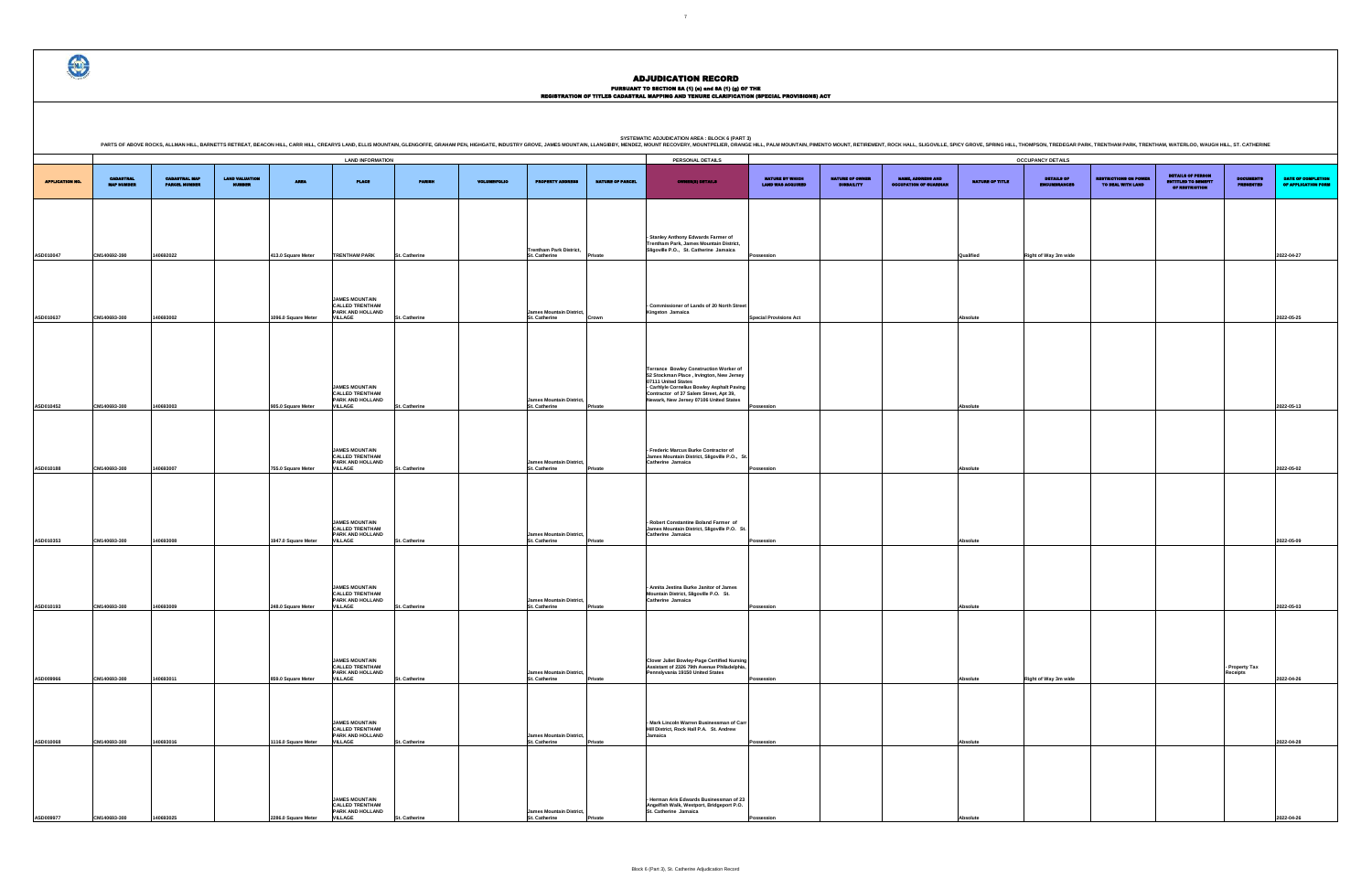# PURSUANT TO SECTION 8A (1) (0) and 8A (1) (g) OF THE<br>REGISTRATION OF TITLES CADASTRAL MAPPING AND TENURE CLARIFICATION (SPECIAL PROVISIONS) ACT

DETAILS OF ENCUMBRANCES RESTRICTIONS ON POWER TO DEAL WITH LAND DETAILS OF PERSON ENTITLED TO BENEFIT OF RESTRICTION DOCUMENTS PRESENTED DATE OF COMPLETION OF APPLICATION FORM **Possession Right of Way 3m wide QUALIFIED AND RIGHT OF A 2022-04-27 Special Provisions Act Absolute 2022-05-25 Possession Absolute 2022-05-13 Possession Absolute 2022-05-02 Possession Absolute 2022-05-09 Possession Absolute 2022-05-03 Postsion Right of Way 3m wide - Property Tax Receipts 2022-04-26 Possession Absolute 2022-04-28 Possession Absolute 2022-04-26**

.<br>IG HILL, THOMPSON, TREDEGAR PARK, TRENTHAM PARK, TRENTHAM, WATERLOO, WAUGH HILL, ST. CATHERINE

|                        |                                       |                                              |                       |                                           |                                                                                                                                                                                       |                                |                     |                                                                                               |                         | <b>SYSTEMATIC ADJUDICATION AREA : BLOCK 6 (PART 3)</b><br>PARTS OF ABOVE ROCKS, ALLMAN HILL, BARNETTS RETREAT, BEACON HILL, CARR HILL, CREARYS LAND, ELLIS MOUNTAIN, GLENGOFFE, GRAHAM PEN, HIGHGATE, INDUSTRY GROVE, JAMES MOUNTAIN, LLANGIBBY, MENDEZ, MOUNT RECOVERY, MOUNT RECOVERY, |                                             |                                      |                                                           |                      |                                        |
|------------------------|---------------------------------------|----------------------------------------------|-----------------------|-------------------------------------------|---------------------------------------------------------------------------------------------------------------------------------------------------------------------------------------|--------------------------------|---------------------|-----------------------------------------------------------------------------------------------|-------------------------|------------------------------------------------------------------------------------------------------------------------------------------------------------------------------------------------------------------------------------------------------------------------------------------|---------------------------------------------|--------------------------------------|-----------------------------------------------------------|----------------------|----------------------------------------|
|                        |                                       |                                              |                       |                                           | <b>LAND INFORMATION</b>                                                                                                                                                               |                                |                     |                                                                                               |                         | PERSONAL DETAILS                                                                                                                                                                                                                                                                         |                                             |                                      |                                                           |                      | <b>OCCUPANCY DETAILS</b>               |
| <b>APPLICATION NO.</b> | <b>CADASTRAL</b><br><b>MAP NUMBER</b> | <b>CADASTRAL MAP</b><br><b>PARCEL MUMBER</b> | <b>LAND VALUATION</b> | <b>AREA</b>                               | <b>PLACE</b>                                                                                                                                                                          | <b>PARISH</b>                  | <b>VOLUME/FOLIO</b> | <b>PROPERTY ADDRESS</b>                                                                       | <b>NATURE OF PARCEL</b> | <b>OWNER(8) DETAILS</b>                                                                                                                                                                                                                                                                  | NATURE BY WHICH<br><b>LAND WAS ACQUIRED</b> | NATURE OF OWNER<br><b>DISBAILITY</b> | <b>NAME, ADDRESS AND</b><br><b>OCCUPATION OF GUARDIAN</b> | NATURE OF TITLE      | <b>DETAILS OF</b><br><b>ENCUMBRANC</b> |
|                        |                                       |                                              |                       |                                           |                                                                                                                                                                                       |                                |                     | <b>Trentham Park District,</b>                                                                |                         | - Stanley Anthony Edwards Farmer of<br>Trentham Park, James Mountain District,<br>Sligoville P.O., St. Catherine Jamaica                                                                                                                                                                 |                                             |                                      |                                                           |                      |                                        |
| ASD010047              | CM140692-390                          | 140692022                                    |                       | 413.0 Square Meter                        | <b>TRENTHAM PARK</b>                                                                                                                                                                  | St. Catherine                  |                     | St. Catherine                                                                                 | Private                 |                                                                                                                                                                                                                                                                                          | Possession                                  |                                      |                                                           | Qualified            | Right of Way 3m wi                     |
| ASD010637              | CM140693-300                          | 140693002                                    |                       | 1096.0 Square Meter                       | <b>JAMES MOUNTAIN</b><br><b>CALLED TRENTHAM</b><br>PARK AND HOLLAND<br><b>VILLAGE</b>                                                                                                 | St. Catherine                  |                     | <b>James Mountain District,</b><br>St. Catherine                                              | Crown                   | - Commissioner of Lands of 20 North Street<br>Kingston Jamaica                                                                                                                                                                                                                           | <b>Special Provisions Act</b>               |                                      |                                                           | Absolute             |                                        |
| ASD010452              | CM140693-300                          | 140693003                                    |                       | 905.0 Square Meter                        | <b>JAMES MOUNTAIN</b><br><b>CALLED TRENTHAM</b><br>PARK AND HOLLAND<br><b>VILLAGE</b>                                                                                                 | St. Catherine                  |                     | <b>James Mountain District,</b><br>St. Catherine                                              | Private                 | Terrance Bowley Construction Worker of<br>52 Stockman Place, Irvington, New Jersey<br>07111 United States<br>- Carhlyle Cornelius Bowley Asphalt Paving<br>Contractor of 37 Salem Street, Apt 39,<br>Newark, New Jersey 07106 United States                                              | Possession                                  |                                      |                                                           | Absolute             |                                        |
| ASD010188              | CM140693-300                          | 140693007                                    |                       | 755.0 Square Meter                        | <b>JAMES MOUNTAIN</b><br><b>CALLED TRENTHAM</b><br>PARK AND HOLLAND<br><b>VILLAGE</b>                                                                                                 | St. Catherine                  |                     | <b>James Mountain District,</b><br>St. Catherine                                              | Private                 | - Frederic Marcus Burke Contractor of<br>James Mountain District, Sligoville P.O., St.<br>Catherine Jamaica                                                                                                                                                                              | Possession                                  |                                      |                                                           | Absolute             |                                        |
| ASD010353              | CM140693-300                          | 140693008                                    |                       | 1947.0 Square Meter                       | <b>JAMES MOUNTAIN</b><br><b>CALLED TRENTHAM</b><br>PARK AND HOLLAND<br><b>VILLAGE</b>                                                                                                 | St. Catherine                  |                     | <b>James Mountain District,</b><br>St. Catherine                                              | Private                 | - Robert Constantine Boland Farmer of<br>James Mountain District, Sligoville P.O. St.<br>Catherine Jamaica                                                                                                                                                                               | Possession                                  |                                      |                                                           | Absolute             |                                        |
| ASD010193              | CM140693-300                          | 140693009                                    |                       | 248.0 Square Meter                        | <b>JAMES MOUNTAIN</b><br><b>CALLED TRENTHAM</b><br>PARK AND HOLLAND<br><b>VILLAGE</b>                                                                                                 | St. Catherine                  |                     | <b>James Mountain District,</b><br>St. Catherine                                              | Private                 | - Annita Jestina Burke Janitor of James<br>Mountain District, Sligoville P.O. St.<br>Catherine Jamaica                                                                                                                                                                                   | Possession                                  |                                      |                                                           | Absolute             |                                        |
| ASD009966<br>ASD010068 | CM140693-300<br>CM140693-300          | 140693011<br>140693016                       |                       | 859.0 Square Meter<br>1116.0 Square Meter | <b>JAMES MOUNTAIN</b><br><b>CALLED TRENTHAM</b><br><b>PARK AND HOLLAND</b><br><b>VILLAGE</b><br><b>JAMES MOUNTAIN</b><br><b>CALLED TRENTHAM</b><br>PARK AND HOLLAND<br><b>VILLAGE</b> | St. Catherine<br>St. Catherine |                     | James Mountain District,<br>St. Catherine<br><b>James Mountain District,</b><br>St. Catherine | Private<br>Private      | <b>Clover Juliet Bowley-Page Certified Nursing</b><br>Assistant of 2326 79th Avenue Philadelphia<br>Pennslyvania 19150 United States<br>- Mark Lincoln Warren Businessman of Carr<br>Hill District, Rock Hall P.A. St. Andrew<br>Jamaica                                                 | Possession<br>Possession                    |                                      |                                                           | Absolute<br>Absolute | Right of Way 3m wi                     |
| ASD009977              | CM140693-300                          | 140693025                                    |                       | 2286.0 Square Meter                       | <b>JAMES MOUNTAIN</b><br><b>CALLED TRENTHAM</b><br>PARK AND HOLLAND<br><b>VILLAGE</b>                                                                                                 | St. Catherine                  |                     | <b>James Mountain District,</b><br>St. Catherine                                              | Private                 | Herman Aris Edwards Businessman of 23<br>Angelfish Walk, Westport, Bridgeport P.O.<br>St. Catherine Jamaica                                                                                                                                                                              | Possession                                  |                                      |                                                           | Absolute             |                                        |

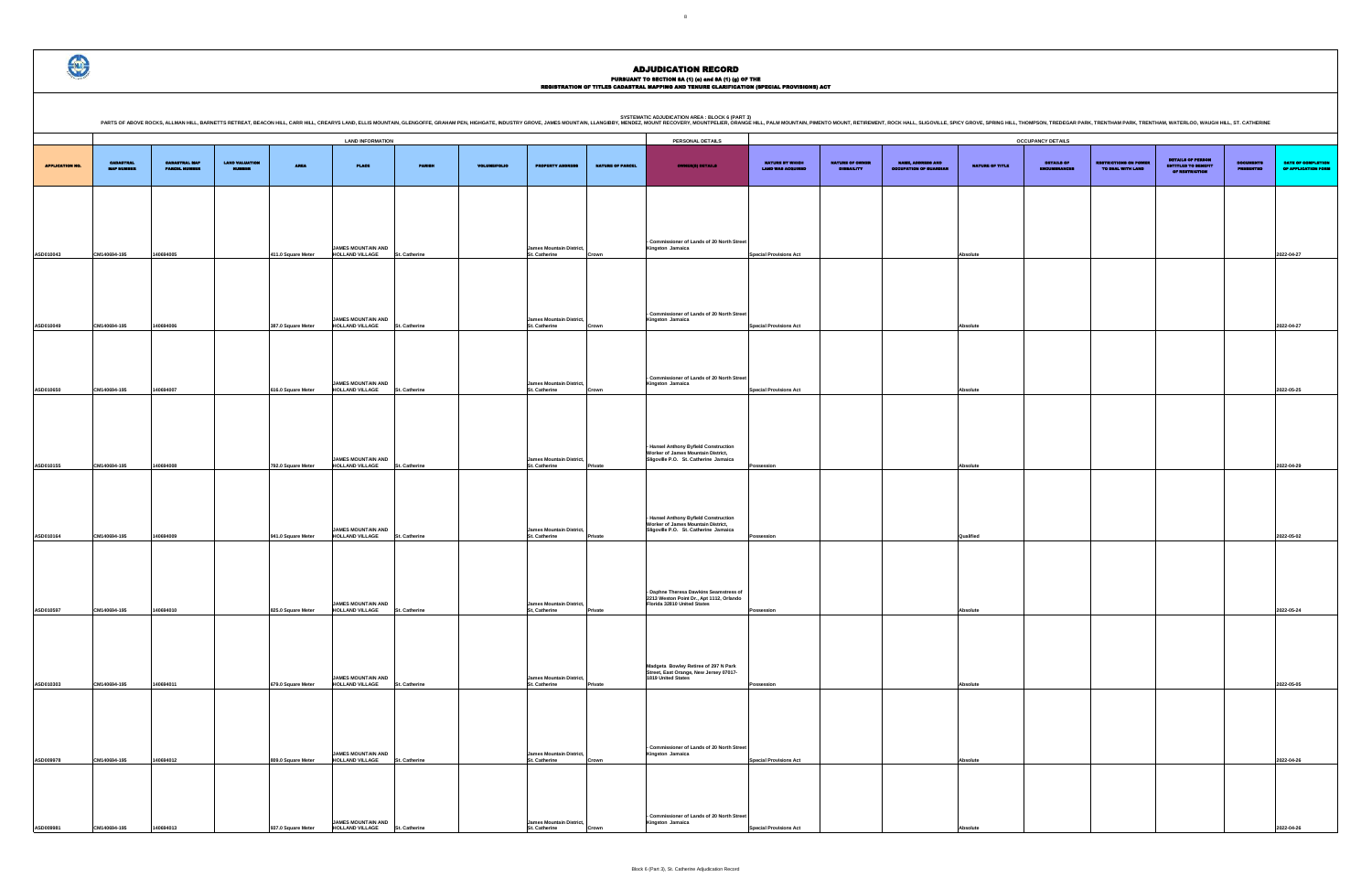DETAILS OF ENCUMBRANCES RESTRICTIONS ON POWER TO DEAL WITH LAND DETAILS OF PERSON ENTITLED TO BENEFIT OF RESTRICTION DOCUMENTS PRESENTED DATE OF COMPLETION OF APPLICATION FORM **Special Provisions Act Absolute 2022-04-27 Special Provisions Act Absolute 2022-04-27 Special Provisions Act Absolute 2022-05-25 Possession Absolute 2022-04-29 Possession Qualified 2022-05-02 Possession Absolute 2022-05-24 Possession Absolute 2022-05-05 Special Provisions Act Absolute 2022-04-26**

ADJUDICATION RECORD

PURSUANT TO SECTION 8A (1) (0) and 8A (1) (g) OF THE<br>REGISTRATION OF TITLES CADASTRAL MAPPING AND TENURE CLARIFICATION (SPECIAL PROVISIONS) ACT

|                        |                                |                                       |                                 |                    |                                                                                         |               |                     |                                                                              |                         | <b>SYSTEMATIC ADJUDICATION AREA : BLOCK 6 (PART 3)</b><br>PARTS OF ABOVE ROCKS, ALLMAN HILL, BARNETTS RETREAT, BEACON HILL, CARR HILL, CARR HILL, CARR HILL, CARR HILL, CARR HILL, CARR HILL, CARRYS LAND, ELLIS MOUNTAIN, OLENGOFFE, GRAHAM PEN, HUGHGATE, INDUSTRY GROVE, JAMES MOUNTA |                                             |                                      |                                                    |                        |                                 |                                                   |                                                                   |                                |                                  |
|------------------------|--------------------------------|---------------------------------------|---------------------------------|--------------------|-----------------------------------------------------------------------------------------|---------------|---------------------|------------------------------------------------------------------------------|-------------------------|------------------------------------------------------------------------------------------------------------------------------------------------------------------------------------------------------------------------------------------------------------------------------------------|---------------------------------------------|--------------------------------------|----------------------------------------------------|------------------------|---------------------------------|---------------------------------------------------|-------------------------------------------------------------------|--------------------------------|----------------------------------|
|                        |                                |                                       |                                 |                    | <b>LAND INFORMATION</b>                                                                 |               |                     |                                                                              |                         | PERSONAL DETAILS                                                                                                                                                                                                                                                                         |                                             |                                      |                                                    |                        | <b>OCCUPANCY DETAILS</b>        |                                                   |                                                                   |                                |                                  |
| <b>APPLICATION NO.</b> | <b>CADASTRAL</b><br>MAP NUMBER | <b>CADASTRAL MAP</b><br>PARCEL HUMBER | <b>LAND VALUATION</b><br>NUMBER | <b>AREA</b>        | <b>PLACE</b>                                                                            | <b>PARISH</b> | <b>VOLUME/FOLIO</b> | <b>PROPERTY ADDRESS</b>                                                      | <b>NATURE OF PARCEL</b> | <b>OWNER(8) DETAILS</b>                                                                                                                                                                                                                                                                  | NATURE BY WHICH<br><b>LAND WAS ACQUIRED</b> | NATURE OF OWNER<br><b>DISBAILITY</b> | NAME, ADDRESS AND<br><b>OCCUPATION OF GUARDIAN</b> | <b>NATURE OF TITLE</b> | DETAILS OF<br><b>MERCHANGER</b> | <b>RESTRICTIONS ON POWER</b><br>TO DEAL WITH LAND | DETAILS OF PERSON<br><b>ENTITLED TO BENEFIT</b><br>OF RESTRICTION | <b>DOCUMENTS<br/>PRESENTED</b> | <b>DATE OF</b><br><b>OF APPL</b> |
|                        |                                |                                       |                                 |                    |                                                                                         |               |                     |                                                                              |                         |                                                                                                                                                                                                                                                                                          |                                             |                                      |                                                    |                        |                                 |                                                   |                                                                   |                                |                                  |
| ASD010043              | CM140694-195                   | 140694005                             |                                 | 411.0 Square Meter | <b>JAMES MOUNTAIN AND</b><br><b>HOLLAND VILLAGE</b>                                     | St. Catherine |                     | James Mountain District,<br>St. Catherine                                    | Crown                   | - Commissioner of Lands of 20 North Street<br>Kingston Jamaica                                                                                                                                                                                                                           | <b>Special Provisions Act</b>               |                                      |                                                    | Absolute               |                                 |                                                   |                                                                   |                                | 2022-04-27                       |
| ASD010049              | CM140694-195                   | 140694006                             |                                 | 387.0 Square Meter | <b>JAMES MOUNTAIN AND</b><br><b>HOLLAND VILLAGE</b>                                     | St. Catherine |                     | <b>James Mountain District,</b><br>St. Catherine                             | Crown                   | - Commissioner of Lands of 20 North Street<br>Kingston Jamaica                                                                                                                                                                                                                           | <b>Special Provisions Act</b>               |                                      |                                                    | Absolute               |                                 |                                                   |                                                                   |                                | 2022-04-27                       |
| ASD010650              | CM140694-195                   | 140694007                             |                                 | 616.0 Square Meter | JAMES MOUNTAIN AND<br><b>HOLLAND VILLAGE</b>                                            | St. Catherine |                     | <b>James Mountain District,</b><br>St. Catherine                             | Crown                   | - Commissioner of Lands of 20 North Street<br>Kingston Jamaica                                                                                                                                                                                                                           | <b>Special Provisions Act</b>               |                                      |                                                    | Absolute               |                                 |                                                   |                                                                   |                                | 2022-05-25                       |
| ASD010155              | CM140694-195                   | 140694008                             |                                 | 792.0 Square Meter | JAMES MOUNTAIN AND<br><b>HOLLAND VILLAGE</b>                                            | St. Catherine |                     | <b>James Mountain District,</b><br>St. Catherine                             | Private                 | - Hansel Anthony Byfield Construction<br>Worker of James Mountain District,<br>Sligoville P.O. St. Catherine Jamaica                                                                                                                                                                     | Possession                                  |                                      |                                                    | Absolute               |                                 |                                                   |                                                                   |                                | 2022-04-29                       |
| ASD010164              | CM140694-195                   | 140694009                             |                                 | 941.0 Square Meter | JAMES MOUNTAIN AND<br><b>HOLLAND VILLAGE</b>                                            | St. Catherine |                     | <b>James Mountain District,</b><br>St. Catherine                             | Private                 | - Hansel Anthony Byfield Construction<br>Worker of James Mountain District,<br>Sligoville P.O. St. Catherine Jamaica                                                                                                                                                                     | Possession                                  |                                      |                                                    | Qualified              |                                 |                                                   |                                                                   |                                | 2022-05-02                       |
|                        |                                |                                       |                                 |                    | JAMES MOUNTAIN AND                                                                      |               |                     | <b>James Mountain District,</b>                                              |                         | - Daphne Theresa Dawkins Seamstress of<br>2213 Weston Point Dr., Apt 1112, Orlando<br>Florida 32810 United States                                                                                                                                                                        |                                             |                                      |                                                    |                        |                                 |                                                   |                                                                   |                                |                                  |
| ASD010597              | CM140694-195                   | 140694010                             |                                 | 825.0 Square Meter | <b>HOLLAND VILLAGE</b><br><b>JAMES MOUNTAIN AND</b>                                     | St. Catherine |                     | St, Catherine<br>James Mountain District,                                    | Private                 | Madgeta Bowley Retiree of 297 N Park<br>Street, East Orange, New Jersey 07017-<br>1819 United States                                                                                                                                                                                     | Possession                                  |                                      |                                                    | Absolute               |                                 |                                                   |                                                                   |                                | 2022-05-24                       |
| ASD010303              | CM140694-195                   | 140694011                             |                                 | 679.0 Square Meter | HOLLAND VILLAGE St. Catherine                                                           |               |                     | St. Catherine                                                                | Private                 |                                                                                                                                                                                                                                                                                          | Possession                                  |                                      |                                                    | Absolute               |                                 |                                                   |                                                                   |                                | 2022-05-05                       |
| ASD009978              | CM140694-195                   | 140694012                             |                                 | 809.0 Square Meter | <b>JAMES MOUNTAIN AND</b><br>HOLLAND VILLAGE St. Catherine<br><b>JAMES MOUNTAIN AND</b> |               |                     | James Mountain District,<br>St. Catherine<br><b>James Mountain District,</b> | Crown                   | - Commissioner of Lands of 20 North Street<br>Kingston Jamaica<br>- Commissioner of Lands of 20 North Street<br>Kingston Jamaica                                                                                                                                                         | <b>Special Provisions Act</b>               |                                      |                                                    | Absolute               |                                 |                                                   |                                                                   |                                | 2022-04-26                       |
| ASD009981              | CM140694-195                   | 140694013                             |                                 | 937.0 Square Meter | HOLLAND VILLAGE St. Catherine                                                           |               |                     | St. Catherine                                                                | Crown                   |                                                                                                                                                                                                                                                                                          | <b>Special Provisions Act</b>               |                                      |                                                    | Absolute               |                                 |                                                   |                                                                   |                                | 2022-04-26                       |

 $\bigcirc$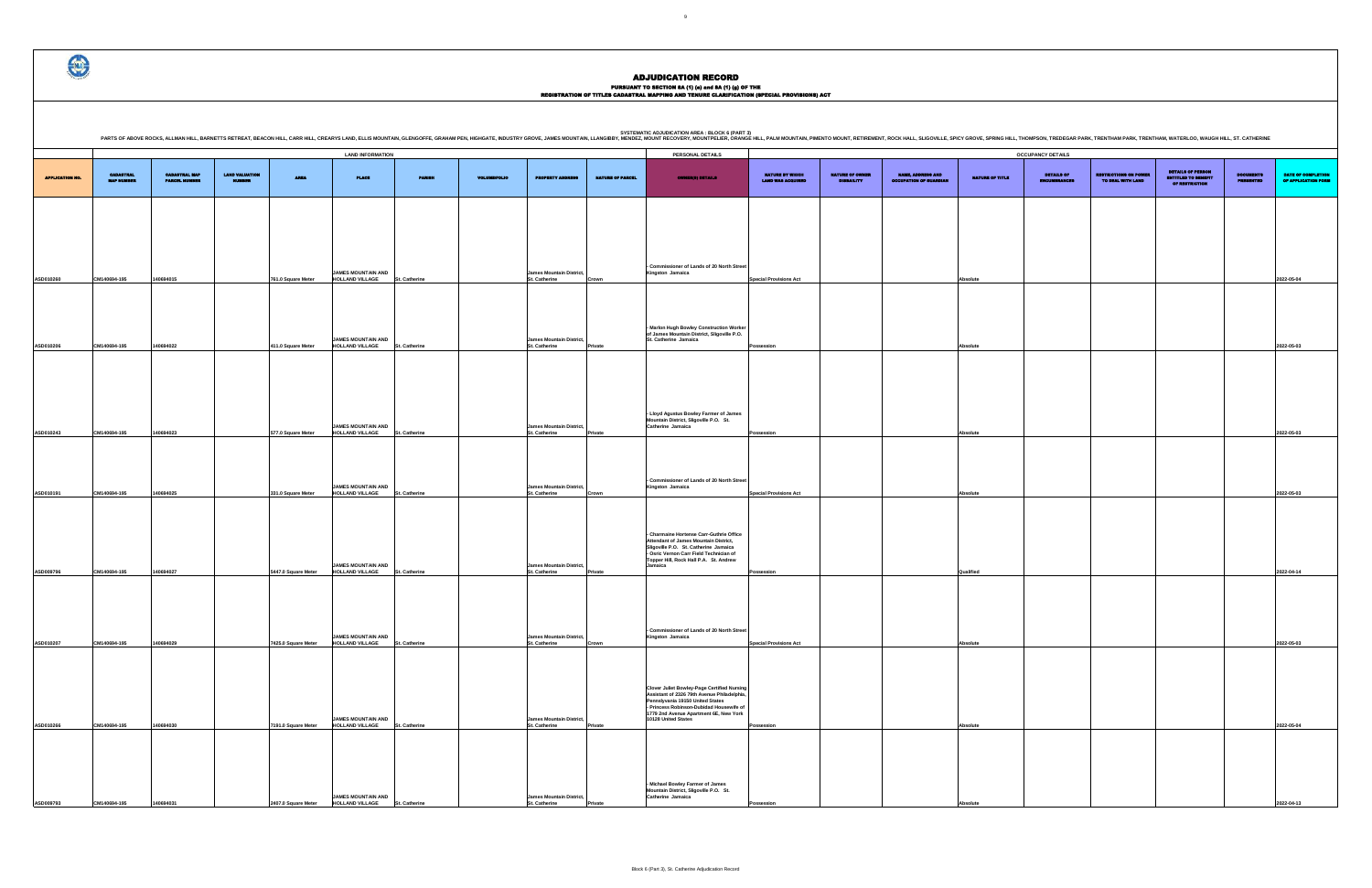# PURSUANT TO SECTION 8A (1) (0) and 8A (1) (g) OF THE<br>REGISTRATION OF TITLES CADASTRAL MAPPING AND TENURE CLARIFICATION (SPECIAL PROVISIONS) ACT

|                                             |                                      |                                                    |                 | <b>OCCUPANCY DETAILS</b>          |                                                   |                                                                   |                                      |                                           |
|---------------------------------------------|--------------------------------------|----------------------------------------------------|-----------------|-----------------------------------|---------------------------------------------------|-------------------------------------------------------------------|--------------------------------------|-------------------------------------------|
| NATURE BY WHICH<br><b>LAND WAS ACQUIRED</b> | NATURE OF OWNER<br><b>DISBAILITY</b> | NAME, ADDRESS AND<br><b>OCCUPATION OF GUARDIAN</b> | NATURE OF TITLE | DETAILS OF<br><b>ENCUMBRANCES</b> | <b>RESTRICTIONS ON POWER</b><br>TO DRAL WITH LAND | <b>DETAILS OF PERSON</b><br>ENTITLED TO BENEFIT<br>OF RESTRICTION | <b>DOCUMENTS</b><br><b>PRESENTED</b> | DATE OF COMPLETION<br>OF APPLICATION FORM |
|                                             |                                      |                                                    |                 |                                   |                                                   |                                                                   |                                      |                                           |
|                                             |                                      |                                                    |                 |                                   |                                                   |                                                                   |                                      |                                           |
| <b>Special Provisions Act</b>               |                                      |                                                    | Absolute        |                                   |                                                   |                                                                   |                                      | 2022-05-04                                |
|                                             |                                      |                                                    |                 |                                   |                                                   |                                                                   |                                      |                                           |
|                                             |                                      |                                                    |                 |                                   |                                                   |                                                                   |                                      |                                           |
| Possession                                  |                                      |                                                    | Absolute        |                                   |                                                   |                                                                   |                                      | 2022-05-03                                |
|                                             |                                      |                                                    |                 |                                   |                                                   |                                                                   |                                      |                                           |
|                                             |                                      |                                                    |                 |                                   |                                                   |                                                                   |                                      |                                           |
| Possession                                  |                                      |                                                    | Absolute        |                                   |                                                   |                                                                   |                                      | 2022-05-03                                |
|                                             |                                      |                                                    |                 |                                   |                                                   |                                                                   |                                      |                                           |
|                                             |                                      |                                                    |                 |                                   |                                                   |                                                                   |                                      | 2022-05-03                                |
| <b>Special Provisions Act</b>               |                                      |                                                    | Absolute        |                                   |                                                   |                                                                   |                                      |                                           |
|                                             |                                      |                                                    |                 |                                   |                                                   |                                                                   |                                      |                                           |
|                                             |                                      |                                                    | Qualified       |                                   |                                                   |                                                                   |                                      | 2022-04-14                                |
| Possession                                  |                                      |                                                    |                 |                                   |                                                   |                                                                   |                                      |                                           |
|                                             |                                      |                                                    |                 |                                   |                                                   |                                                                   |                                      |                                           |
| <b>Special Provisions Act</b>               |                                      |                                                    | Absolute        |                                   |                                                   |                                                                   |                                      | 2022-05-03                                |
|                                             |                                      |                                                    |                 |                                   |                                                   |                                                                   |                                      |                                           |
|                                             |                                      |                                                    |                 |                                   |                                                   |                                                                   |                                      |                                           |
| Possession                                  |                                      |                                                    | Absolute        |                                   |                                                   |                                                                   |                                      | 2022-05-04                                |
|                                             |                                      |                                                    |                 |                                   |                                                   |                                                                   |                                      |                                           |
|                                             |                                      |                                                    |                 |                                   |                                                   |                                                                   |                                      |                                           |
| Possession                                  |                                      |                                                    | Absolute        |                                   |                                                   |                                                                   |                                      | 2022-04-13                                |

HILL, THOMPSON, TREDEGAR PARK, TRENTHAM PARK, TRENTHAM, WATERLOO, WAUGH HILL, ST. CATHERINE

|                 |                                       |                                              |                                 |                     |                                                     |               |                     |                                                         |                         | <b>SYSTEMATIC ADJUDICATION AREA : BLOCK 6 (PART 3)</b><br>PARTS OF ABOVE ROCKS, ALLMAN HILL, BARNETTS RETREAT, BEACON HILL, CARR HILL, CREARYS LAND, ELLIS MOUNTAIN, GLENGOFFE, GRAHAM PEN, HIGHGATE, INDUSTRY GROVE, JAMES MOUNTAIN, LLANGIBBY, MENDEZ, MOUNT RECOVERY, MOUNT RECOVERY, |                                             |                                      |                                                           |                 |                                 |
|-----------------|---------------------------------------|----------------------------------------------|---------------------------------|---------------------|-----------------------------------------------------|---------------|---------------------|---------------------------------------------------------|-------------------------|------------------------------------------------------------------------------------------------------------------------------------------------------------------------------------------------------------------------------------------------------------------------------------------|---------------------------------------------|--------------------------------------|-----------------------------------------------------------|-----------------|---------------------------------|
|                 |                                       |                                              |                                 |                     | <b>LAND INFORMATION</b>                             |               |                     |                                                         |                         | PERSONAL DETAILS                                                                                                                                                                                                                                                                         |                                             |                                      |                                                           |                 | <b>OCCUPANCY DETAILS</b>        |
| APPLICATION NO. | <b>CADASTRAL</b><br><b>MAP NUMBER</b> | <b>CADASTRAL MAP</b><br><b>PARCIL HUMBER</b> | <b>LAND VALUATION</b><br>NUMBER | <b>AREA</b>         | <b>PLACE</b>                                        | <b>PARISH</b> | <b>VOLUME/FOLIO</b> | <b>PROPERTY ADDRESS</b>                                 | <b>NATURE OF PARCEL</b> | <b>OWNER(S) DETAILS</b>                                                                                                                                                                                                                                                                  | NATURE BY WHICH<br><b>LAND WAS ACQUIRED</b> | NATURE OF OWNER<br><b>DISBAILITY</b> | <b>NAME, ADDRESS AND</b><br><b>OCCUPATION OF GUARDIAN</b> | NATURE OF TITLE | <b>DETAILS OF</b><br>ENCUMBRANC |
|                 |                                       |                                              |                                 |                     |                                                     |               |                     |                                                         |                         |                                                                                                                                                                                                                                                                                          |                                             |                                      |                                                           |                 |                                 |
|                 |                                       |                                              |                                 |                     |                                                     |               |                     |                                                         |                         |                                                                                                                                                                                                                                                                                          |                                             |                                      |                                                           |                 |                                 |
| ASD010260       | CM140694-195                          | 140694015                                    |                                 | 761.0 Square Meter  | JAMES MOUNTAIN AND<br><b>HOLLAND VILLAGE</b>        | St. Catherine |                     | <b>James Mountain District,</b><br>St. Catherine        | Crown                   | - Commissioner of Lands of 20 North Street<br>Kingston Jamaica                                                                                                                                                                                                                           | <b>Special Provisions Act</b>               |                                      |                                                           | Absolute        |                                 |
|                 |                                       |                                              |                                 |                     |                                                     |               |                     |                                                         |                         |                                                                                                                                                                                                                                                                                          |                                             |                                      |                                                           |                 |                                 |
| ASD010206       | CM140694-195                          | 140694022                                    |                                 | 411.0 Square Meter  | JAMES MOUNTAIN AND<br><b>HOLLAND VILLAGE</b>        | St. Catherine |                     | <b>James Mountain District,</b><br>St. Catherine        | Private                 | - Marlon Hugh Bowley Construction Worker<br>of James Mountain District, Sligoville P.O.<br>St. Catherine Jamaica                                                                                                                                                                         | Possession                                  |                                      |                                                           | Absolute        |                                 |
|                 |                                       |                                              |                                 |                     |                                                     |               |                     |                                                         |                         |                                                                                                                                                                                                                                                                                          |                                             |                                      |                                                           |                 |                                 |
|                 |                                       |                                              |                                 |                     |                                                     |               |                     |                                                         |                         |                                                                                                                                                                                                                                                                                          |                                             |                                      |                                                           |                 |                                 |
| ASD010243       | CM140694-195                          | 140694023                                    |                                 | 577.0 Square Meter  | <b>JAMES MOUNTAIN AND</b><br><b>HOLLAND VILLAGE</b> | St. Catherine |                     | James Mountain District,<br>St. Catherine               | Private                 | - Lloyd Agustus Bowley Farmer of James<br>Mountain District, Sligoville P.O. St.<br>Catherine Jamaica                                                                                                                                                                                    | Possession                                  |                                      |                                                           | Absolute        |                                 |
|                 |                                       |                                              |                                 |                     |                                                     |               |                     |                                                         |                         |                                                                                                                                                                                                                                                                                          |                                             |                                      |                                                           |                 |                                 |
| ASD010191       | CM140694-195                          | 140694025                                    |                                 | 331.0 Square Meter  | <b>JAMES MOUNTAIN AND</b><br><b>HOLLAND VILLAGE</b> | St. Catherine |                     | James Mountain District,<br>St. Catherine               | Crown                   | - Commissioner of Lands of 20 North Street<br>Kingston Jamaica                                                                                                                                                                                                                           | <b>Special Provisions Act</b>               |                                      |                                                           | Absolute        |                                 |
|                 |                                       |                                              |                                 |                     |                                                     |               |                     |                                                         |                         |                                                                                                                                                                                                                                                                                          |                                             |                                      |                                                           |                 |                                 |
|                 |                                       |                                              |                                 |                     |                                                     |               |                     |                                                         |                         | - Charmaine Hortense Carr-Guthrie Office<br><b>Attendant of James Mountain District,</b><br>Sligoville P.O. St. Catherine Jamaica<br>- Osric Vernon Carr Field Technician of<br>Topper Hill, Rock Hall P.A. St. Andrew                                                                   |                                             |                                      |                                                           |                 |                                 |
| ASD009796       | CM140694-195                          | 140694027                                    |                                 | 5447.0 Square Meter | <b>JAMES MOUNTAIN AND</b><br><b>HOLLAND VILLAGE</b> | St. Catherine |                     | <b>James Mountain District,</b><br>St. Catherine        | Private                 | Jamaica                                                                                                                                                                                                                                                                                  | Possession                                  |                                      |                                                           | Qualified       |                                 |
|                 |                                       |                                              |                                 |                     |                                                     |               |                     |                                                         |                         |                                                                                                                                                                                                                                                                                          |                                             |                                      |                                                           |                 |                                 |
| ASD010207       | CM140694-195                          | 140694029                                    |                                 | 7425.0 Square Meter | <b>JAMES MOUNTAIN AND</b><br><b>HOLLAND VILLAGE</b> | St. Catherine |                     | <b>James Mountain District,</b><br><b>St. Catherine</b> | Crown                   | Commissioner of Lands of 20 North Street<br>Kingston Jamaica                                                                                                                                                                                                                             | <b>Special Provisions Act</b>               |                                      |                                                           | Absolute        |                                 |
|                 |                                       |                                              |                                 |                     |                                                     |               |                     |                                                         |                         |                                                                                                                                                                                                                                                                                          |                                             |                                      |                                                           |                 |                                 |
|                 |                                       |                                              |                                 |                     |                                                     |               |                     |                                                         |                         | <b>Clover Juliet Bowley-Page Certified Nursing</b><br>Assistant of 2326 79th Avenue Philadelphia,<br>Pennslyvania 19150 United States<br>- Princess Robinson-Dubidad Housewife of                                                                                                        |                                             |                                      |                                                           |                 |                                 |
| ASD010266       | CM140694-195                          | 140694030                                    |                                 | 7191.0 Square Meter | <b>JAMES MOUNTAIN AND</b><br><b>HOLLAND VILLAGE</b> | St. Catherine |                     | <b>James Mountain District,</b><br>St. Catherine        | Private                 | 1779 2nd Avenue Apartment 6E, New York<br>10128 United States                                                                                                                                                                                                                            | Possession                                  |                                      |                                                           | Absolute        |                                 |
|                 |                                       |                                              |                                 |                     |                                                     |               |                     |                                                         |                         |                                                                                                                                                                                                                                                                                          |                                             |                                      |                                                           |                 |                                 |
|                 |                                       |                                              |                                 |                     | <b>JAMES MOUNTAIN AND</b>                           |               |                     | <b>James Mountain District,</b>                         |                         | Michael Bowley Farmer of James<br>Mountain District, Sligoville P.O. St.<br>Catherine Jamaica                                                                                                                                                                                            |                                             |                                      |                                                           |                 |                                 |
| ASD009793       | CM140694-195                          | 140694031                                    |                                 | 2407.0 Square Meter | HOLLAND VILLAGE                                     | St. Catherine |                     | St. Catherine                                           | Private                 |                                                                                                                                                                                                                                                                                          | Possession                                  |                                      |                                                           | Absolute        |                                 |

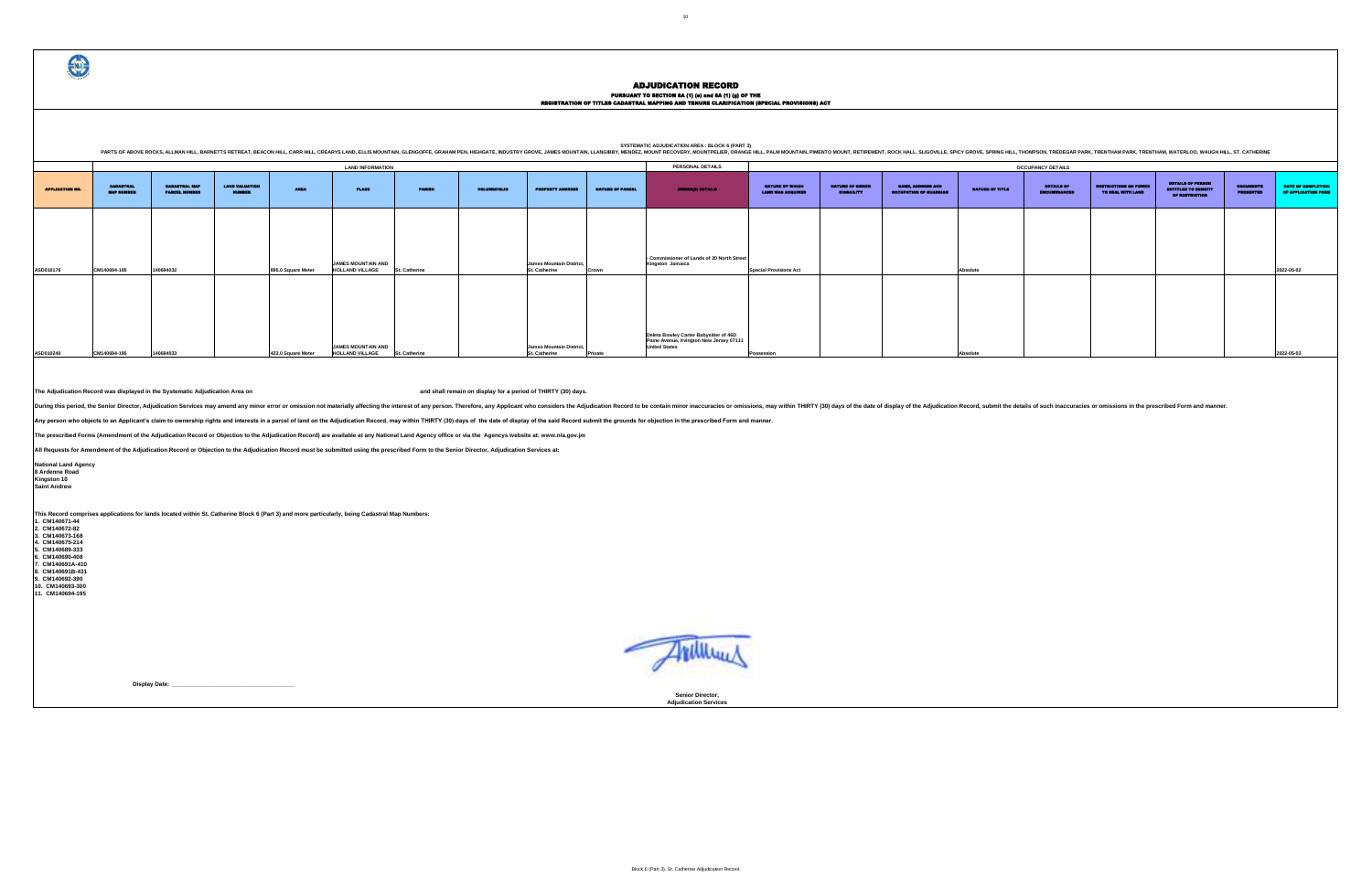PURSUANT TO SECTION 8A (1) (e) and 8A (1) (g) OF THE<br>REGISTRATION OF TITLES CADASTRAL MAPPING AND TENURE CLARIFICATION (SPECIAL PROVISIONS) ACT

| <b>OCCUPANCY DETAILS</b>          |                                                   |                                                                          |                                      |                                           |
|-----------------------------------|---------------------------------------------------|--------------------------------------------------------------------------|--------------------------------------|-------------------------------------------|
| DETAILS OF<br><b>ENCUMBRANCES</b> | <b>RESTRICTIONS ON POWER</b><br>TO DEAL WITH LAND | <b>DETAILS OF PERSON</b><br><b>ENTITLED TO BENEFIT</b><br>OF RESTRICTION | <b>DOCUMBITS</b><br><b>PRESENTED</b> | DATE OF COMPLETION<br>OF APPLICATION FORM |
|                                   |                                                   |                                                                          |                                      |                                           |
|                                   |                                                   |                                                                          |                                      |                                           |
|                                   |                                                   |                                                                          |                                      |                                           |
|                                   |                                                   |                                                                          |                                      | 2022-05-02                                |
|                                   |                                                   |                                                                          |                                      |                                           |
|                                   |                                                   |                                                                          |                                      |                                           |
|                                   |                                                   |                                                                          |                                      | 2022-05-03                                |

**Senior Director, Adjudication Services**

€

### ADJUDICATION RECORD

FARTS OF ABOVE ROCKS, ALLMAN HILL, BARNETTS RETREAT, BEACON HILL, CARR HILL, CARR HILL, CARR HILL, CARR HILL, CARR HILL, CARR HILL, CARR HILL, CARR HILL, CARR HILL, CARR HILL, CARR HILL, CARR HILL, CARR HILL, SALR BILL, BL **PERSONAL DETAILS LAND INFORMATION OCCUPANCY DETAILS** NAME, ADDRESS AND DETAILS OF PERSON CADASTRAL MAP NUMBER CADASTRAL MAP PARCEL NUMBER LAND VALUATION NUMBER NATURE BY WHICH LAND WAS ACQUIRED NATURE OF OWNER DISBAILITY DETAILS OF RESTRICTIONS ON POWER DOCUMENTS APPLICATION NO. AREA PLACE PARISH VOLUME/FOLIO PROPERTY ADDRESS NATURE OF PARCEL OWNER(S) DETAILS NATURE OF TITLE ENTITLED TO BENEFIT OCCUPATION OF GUARDIAN TO DEAL WITH LAND PRESENTED OF RESTRICTION **-** Internal of 20 North Street **Commission Kingston Jamaica JAMES MOUNTAIN AND HOLLAND VILLAGE St. Catherine James Mountain District, St. Catherine Crown ASD010176 CM140694-195 140694032 895.0 Square Meter Special Provisions Act Absolute 2022-05-02 Deleta Bowley Carter Babysitter of 46D Paine Avenue, Irvington New Jersey 07111 United States JAMES MOUNTAIN AND HOLLAND VILLAGE St. Catherine James Mountain District, St. Catherine Private ASD010240 CM140694-195 140694033 423.0 Square Meter Possession Absolute 2022-05-03** The Adjudication Record was displayed in the Systematic Adjudication Area on **and shall remain on a period of Systematic Adjudication Area on** and shall remain on display for a period of THIRTY (30) days. During this period, the Senior Director, Adjudication Services may amend any minor error or omission not materially affecting the interest of any person. Therefore, any Applicant who considers the Adjudication Record to be Any person who objects to an Applicant's claim to ownership rights and interests in a parcel of land on the Adjudication Record, may within THIRTY (30) days of the date of display of the said Record submit the grounds for **The prescribed Forms (Amendment of the Adjudication Record or Objection to the Adjudication Record) are available at any National Land Agency office or via the Agencys website at: www.nla.gov.jm All Requests for Amendment of the Adjudication Record or Objection to the Adjudication Record must be submitted using the prescribed Form to the Senior Director, Adjudication Services at: National Land Agency 8 Ardenne Road Kingston 10 Saint Andrew This Record comprises applications for lands located within St. Catherine Block 6 (Part 3) and more particularly, being Cadastral Map Numbers: 1. CM140671-44 2. CM140672-82 3. CM140673-168 4. CM140675-214 5. CM140689-333 6. CM140690-408 7. CM140691A-410 8. CM140691B-431 9. CM140692-390 10. CM140693-300 11. CM140694-195** Anilline **Display Date: \_\_\_\_\_\_\_\_\_\_\_\_\_\_\_\_\_\_\_\_\_\_\_\_\_\_\_\_\_\_\_\_\_\_\_\_\_\_**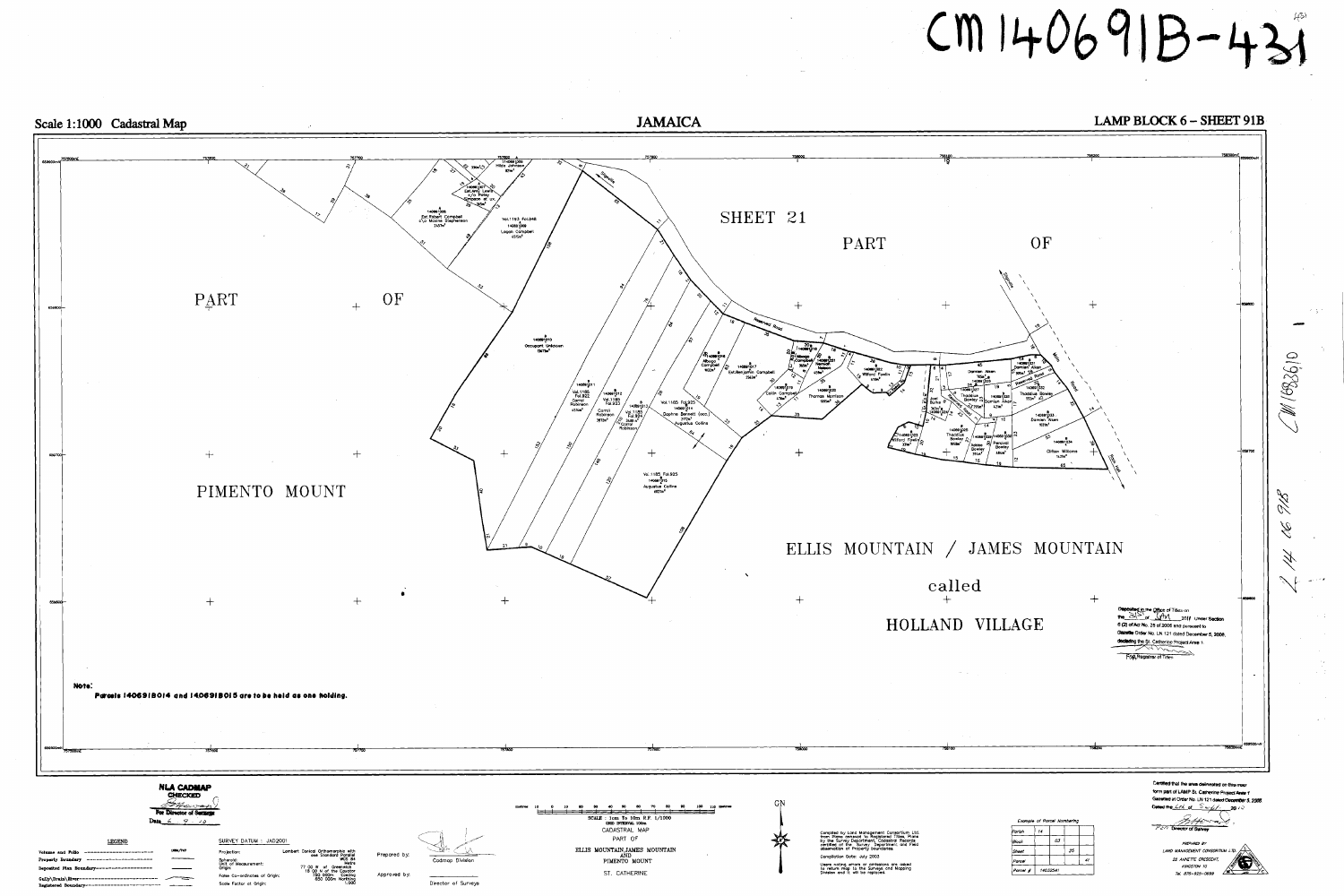

# Scale 1:1000 Cadastral Map

| LEGEND                                                          | SURVEY DATUM: JAD2001                                    |                                                                             |              |                 |
|-----------------------------------------------------------------|----------------------------------------------------------|-----------------------------------------------------------------------------|--------------|-----------------|
| 1004/747<br>Volume and Folio                                    | Projection:                                              | Lambert Conical Orthomorphic with<br>one Standard Parallel                  | Prepared by: |                 |
| Property Boundary<br>Deposited Plan Boundary------------------- | Spheroid:<br>Unit of Measurement:<br>Origin:             | <b>WGS 84</b><br>Metre<br>77 00 W of<br>Greenwich<br>18 00 N of the Equator |              | Codmop Divisi   |
| Gully\Drain\River<br>Registered Boundary-                       | False Co-ordinates of Origin:<br>Scole Factor at Origin: | 750 000m<br>Easting<br>650 000m Northing<br>1.000                           | Approved by: | Director of Sur |
|                                                                 |                                                          |                                                                             |              |                 |

**JAMAICA** 

# $CM 140691B - 431$

# LAMP BLOCK 6 - SHEET 91B

| Parish   | 14 |          |    |    |
|----------|----|----------|----|----|
| Block    |    | 03       |    |    |
| Sheet    |    |          | 25 |    |
| Parcel   |    |          |    | 41 |
| Parcei # |    | 14032541 |    |    |

್ ಮಾರ್ಗಳ ಕ್ಷ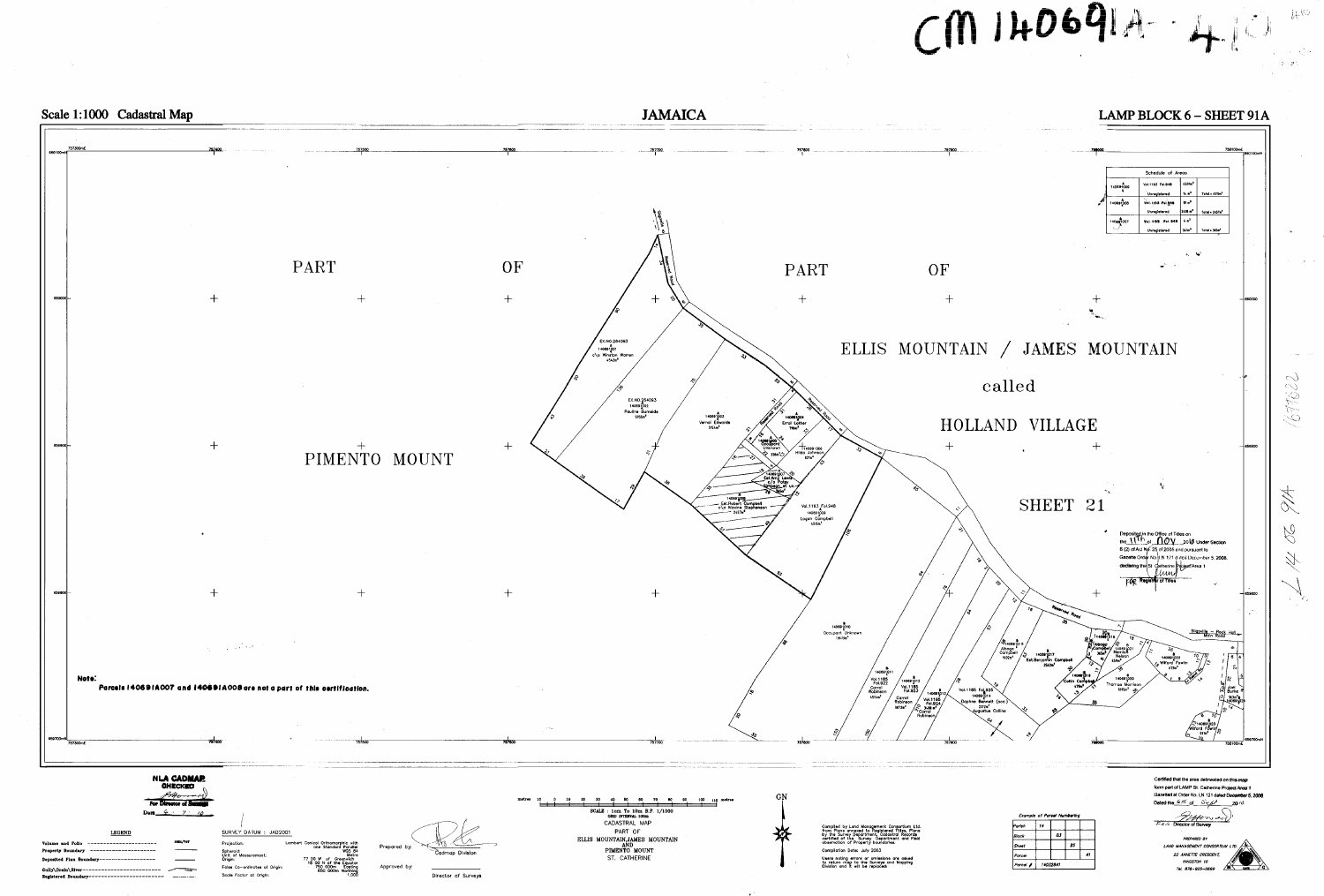



| Example of Porcel Numbering |                |    |    |    |  |  |
|-----------------------------|----------------|----|----|----|--|--|
| Parish                      | 14             |    |    |    |  |  |
| Block                       |                | os |    |    |  |  |
| Sheet                       |                |    | 25 |    |  |  |
| Parcel                      |                |    |    | 41 |  |  |
| Parcel #                    | ,,<br>14032541 |    |    |    |  |  |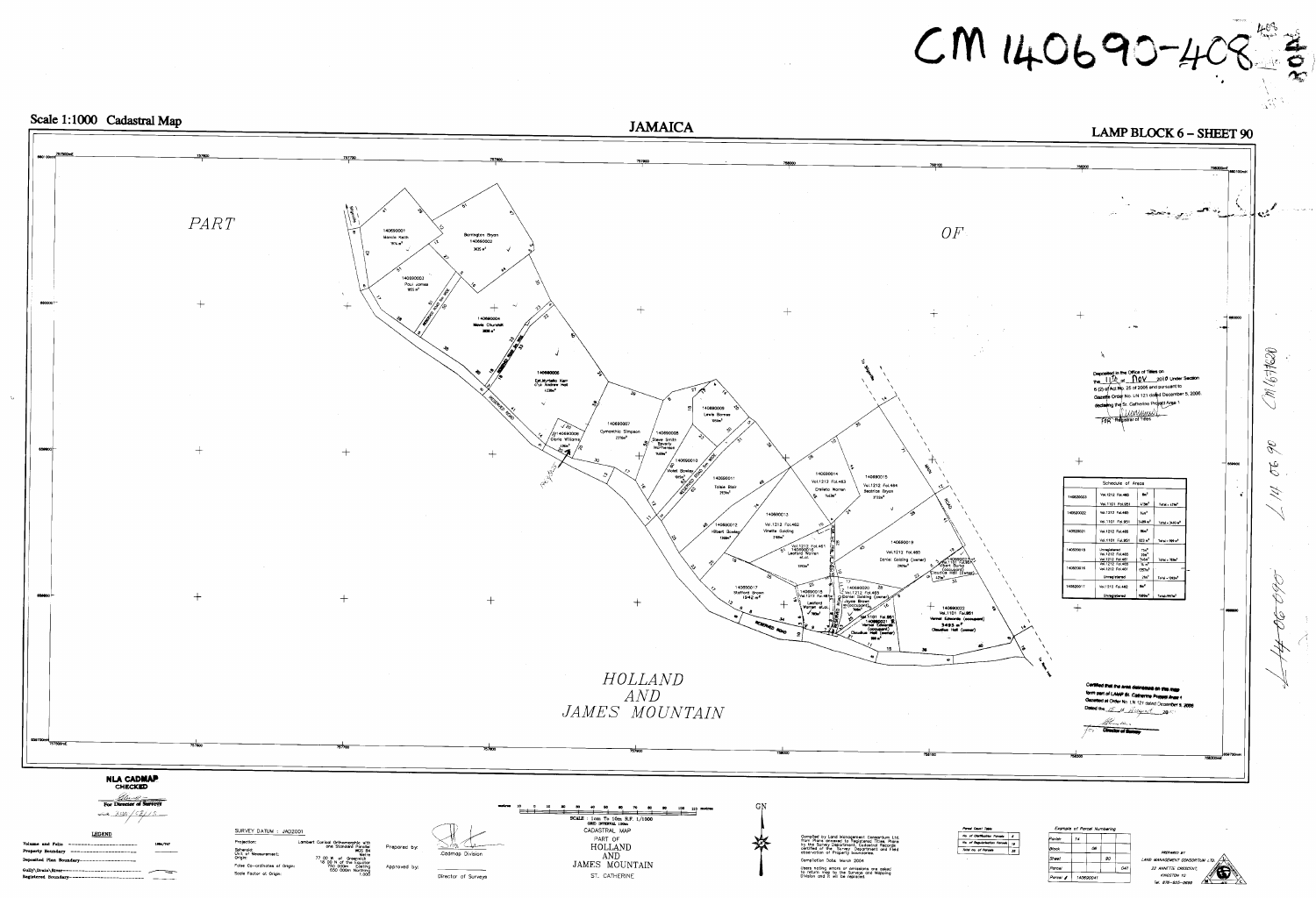# $PART$ 40690001 Marcia Keith  $1974 m<sup>2</sup>$ 140690003 Paul James<br>1855 m<sup>2</sup>  $+$  $+$ 659700

# Scale 1:1000 Cadastral Map

# NLA CADMAP

For Director of Surveys  $cos \frac{16p}{531s}$ 

# LEGEND

----------------------Property Bo ------------Deposited Plan Boundary------------------Registered Boundary------------------------- - ------- SURVEY DATUM : JAD2001

Projection:

Spheroid:<br>Unit of Measurement:<br>Origin: False Co-ordinates of Origin Scole Factor at Origin:

Lambert Conical Orthomorphic with<br>
one Standard Parallel<br>
WGS 84<br>
77 00 W of Greenwich<br>
18 00 N of the Equator<br>
750 000m Easting<br>
650 000m Northing<br>
1.000



Approved by:





Director of Surveys JAMES MOUNTAIN ST. CATHERINE

Compliation Date: March 2004 Users noting errors or amissions are asked<br>to return map to the Surveys and Mapping<br>Division and it will be replaced.

# $CM 140690 - 408$

# LAMP BLOCK 6 - SHEET 90

| No. of Clariffication Parcela |    |
|-------------------------------|----|
| No. of Regularisation Parcels | 19 |
| Total no. of Parcels          |    |

| Example of Parcel Numbering |    |           |    |     |
|-----------------------------|----|-----------|----|-----|
| Parish                      | 14 |           |    |     |
| Block                       |    | 06        |    |     |
| Sheet                       |    |           | 90 |     |
| Parce/                      |    |           |    | 041 |
| Parcel #                    |    | 140690041 |    |     |

22 ANNETTE CRESCENT KINGSTON 10 Tel. 876-925-0699

![](_page_12_Picture_23.jpeg)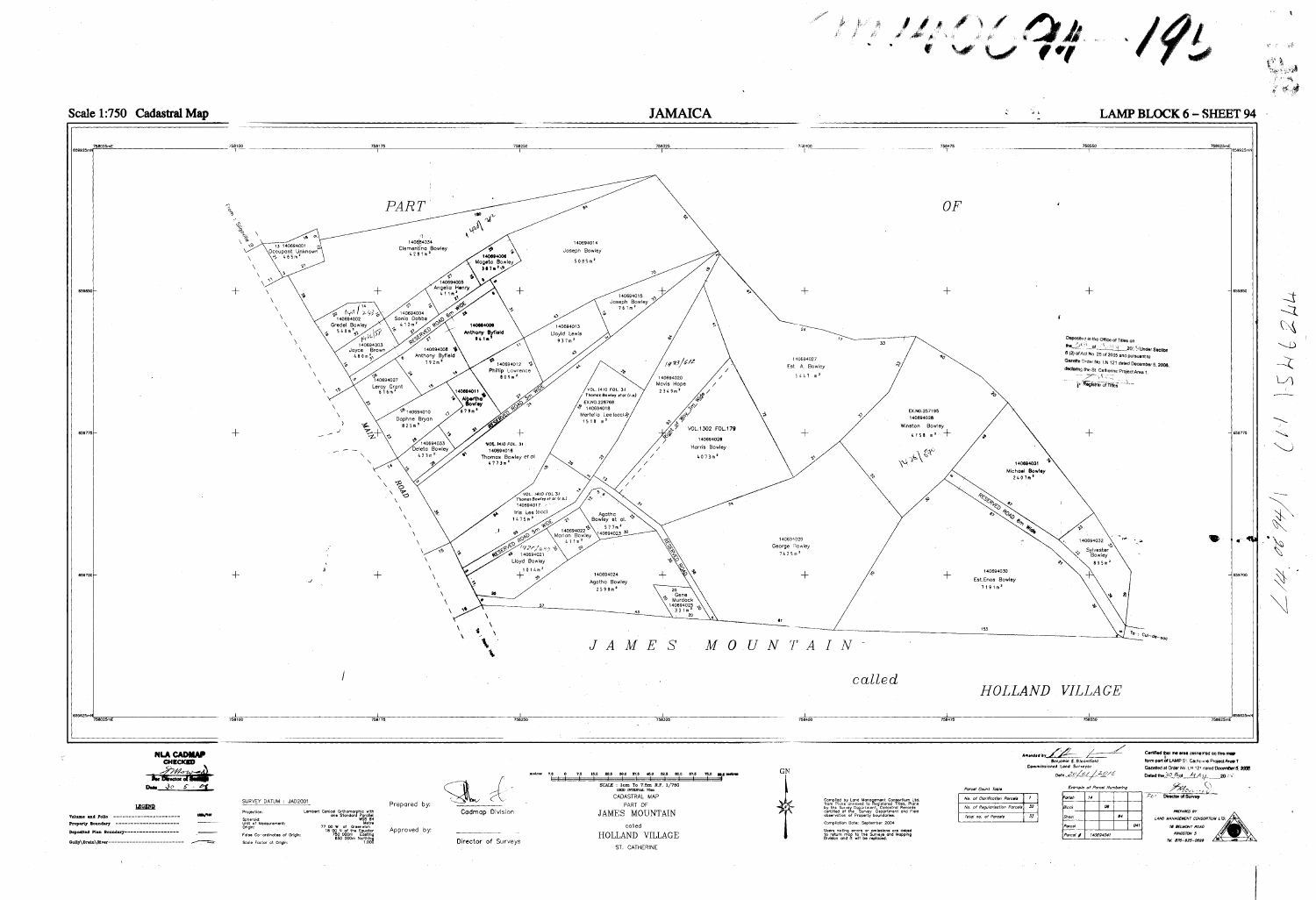![](_page_13_Figure_0.jpeg)

![](_page_13_Figure_1.jpeg)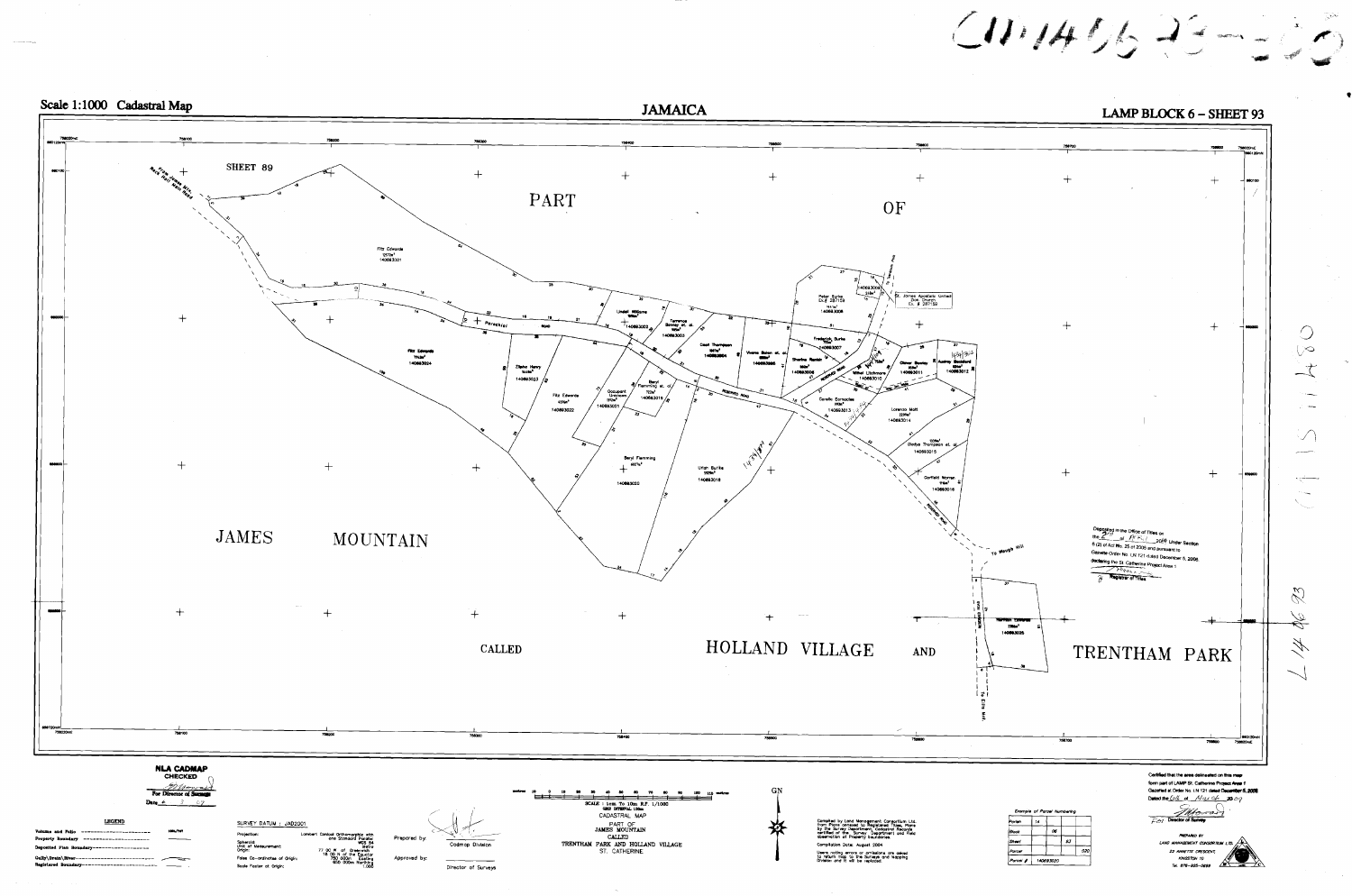![](_page_14_Figure_0.jpeg)

![](_page_14_Figure_1.jpeg)

 $C1114062222$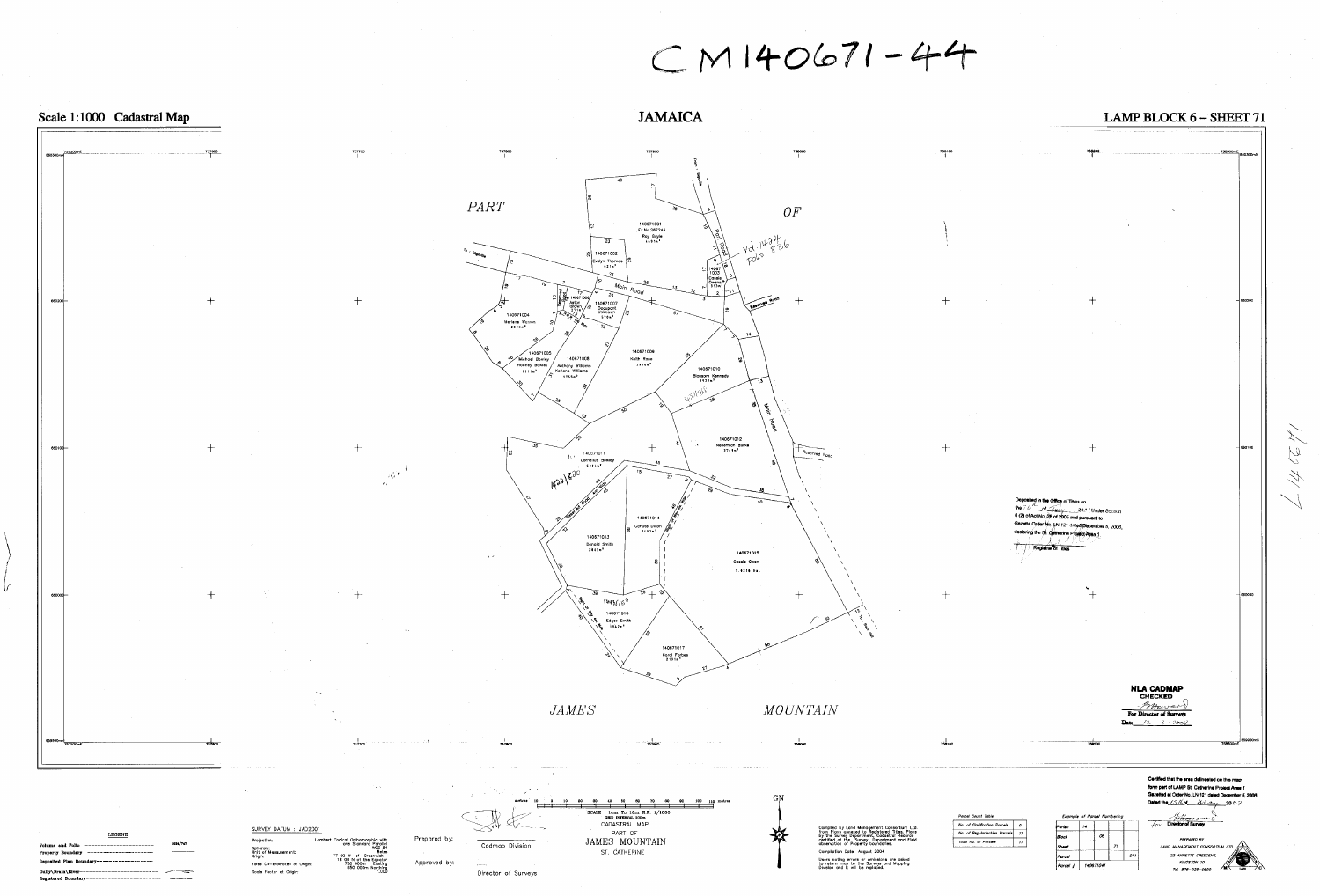![](_page_15_Figure_0.jpeg)

# Scale 1:1000 Cadastral Map

U

Property Boundary -----------------------Deposited Plan Boundary--------------------Registered Boundary------------------------ ---------

Spheroid:<br>Unit of Measurement:<br>Origin: Folse Co-ordinates of Origin: Scale Factor at Origin:

Metre metre<br>18 00 N of Greenwich<br>18 00 N of the Equator<br>750 000m Easting<br>650 000m Northing<br>1,000 Approved by:

# $CM140671 - 44$

# **JAMAICA**

Director of Surveys

وليستبطئ

![](_page_15_Figure_11.jpeg)

758100

Users noting errors or omissions are asked<br>to return map to the Surveys and Mapping<br>Division and it will be replaced,

Parcel Count Table

Total no. of Parcela

No. of Clorification Parcels  $\begin{array}{|c|c|c|c|c|}\n\hline\n\end{array}$ 

No. of Regularisation Parcels | 1

- 12

form part of LAMP St. Catherine Project Area 1 Gazetted at Order No. LN 121 dated December 5, 2006. Dated the 15Kol Ulay 2007  $\frac{f_{\text{A}}}{f_{\text{OY}}}$  Director of Survey Example of Parcel Numbering

 $041$ 

Parish

|Block

Sheet

Parcel

 $|P$ arcel  $\#$ 

140671041

**NLA CADMAP** 

**CHECKED** Browar

For Director of Surveys Date  $12 + 3 + 2002$ 

> PRFPARED AY LAND MANAGEMENT CONSORTIUM LTD.  $\begin{matrix} \begin{matrix} 1 \end{matrix} \\ \begin{matrix} 2 \end{matrix} \end{matrix}$ 22 ANNETTE CRESCENT, **KINGSTON 10** Tel. 876-925-0699

Certified that the area delineated on this map

 $M \frac{1}{100}$   $70$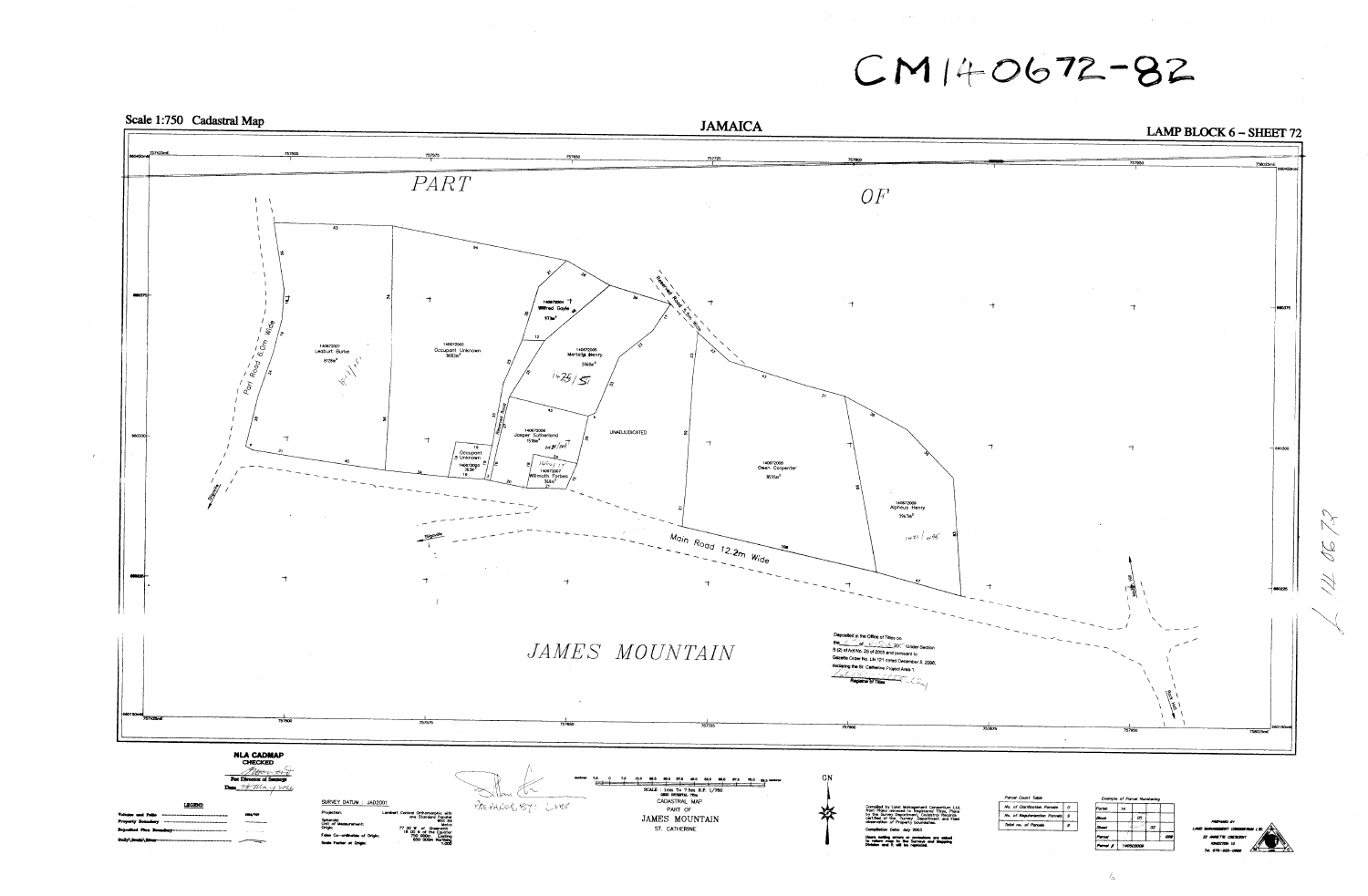![](_page_16_Figure_0.jpeg)

Scale 1:750 Cadastral Map

 $CM140672 - 82$ 

|                                                                                                            |                                   |   | Percel A                  |    | 140502000 |    |
|------------------------------------------------------------------------------------------------------------|-----------------------------------|---|---------------------------|----|-----------|----|
| etting arrors or amissions are asked<br>in map to the Surveys and Mapping<br>and it will be replaced.      |                                   |   | Parout                    |    |           |    |
| tion Date: July 2003                                                                                       | Total no. of Parcels              | 9 | <b>Sheet</b>              |    |           | 02 |
| Survey Department, Codastral Records<br>of the Survey Department and Field<br>tion of Property boundaries. | No. of Regularisation Parcels   9 |   | Block                     |    | œσ        |    |
| d by Land Management Consortium Ltd.<br>ans annexed to Registered Titles, Plans                            | No. of Clarification Parcels      | 0 | Parish                    | 14 |           |    |
|                                                                                                            | Parcel Count Table                |   | Example of Parcel Numberi |    |           |    |

 $\mathcal{L}$ 

 $\mathcal{N}% _{0}$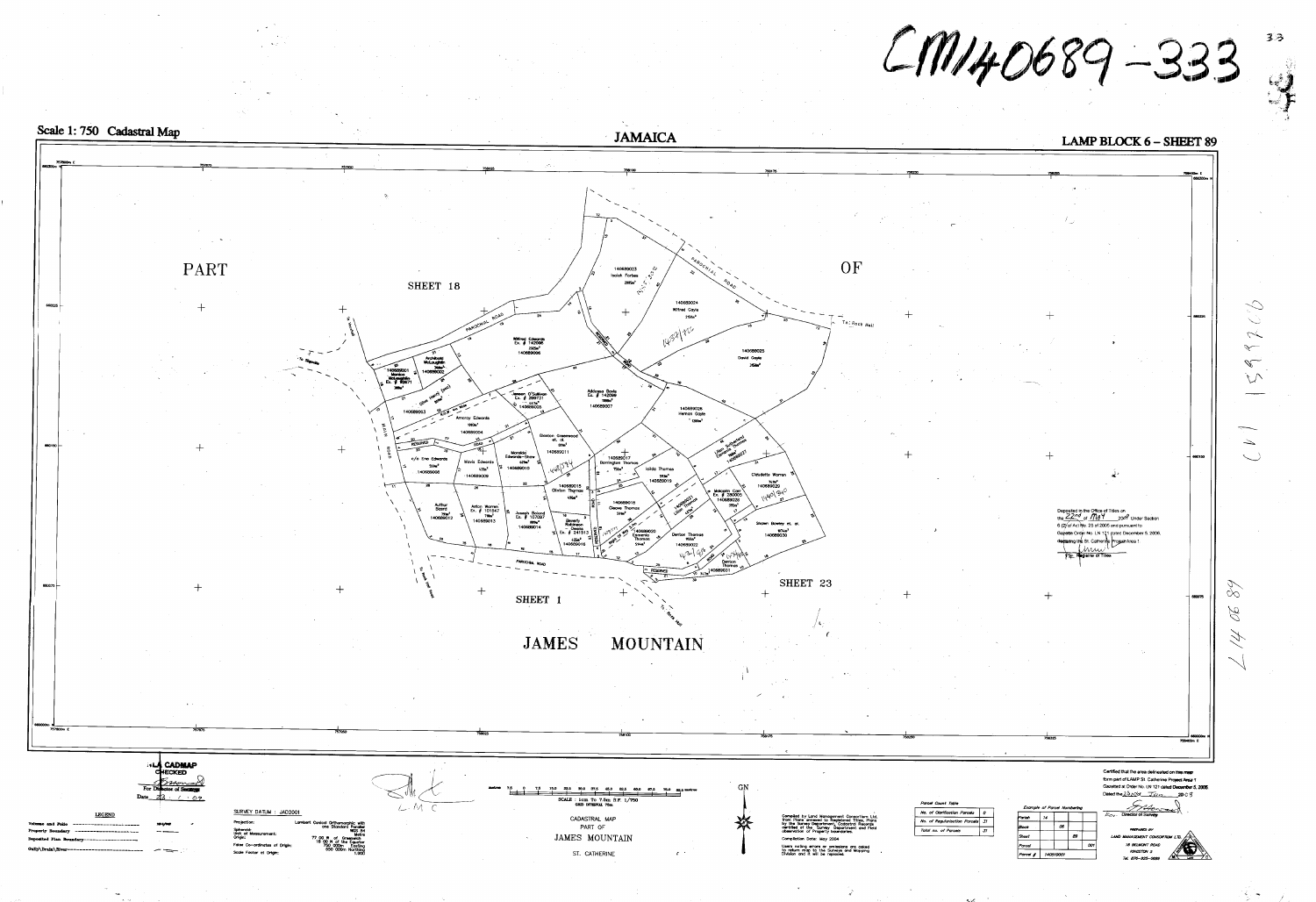![](_page_17_Figure_0.jpeg)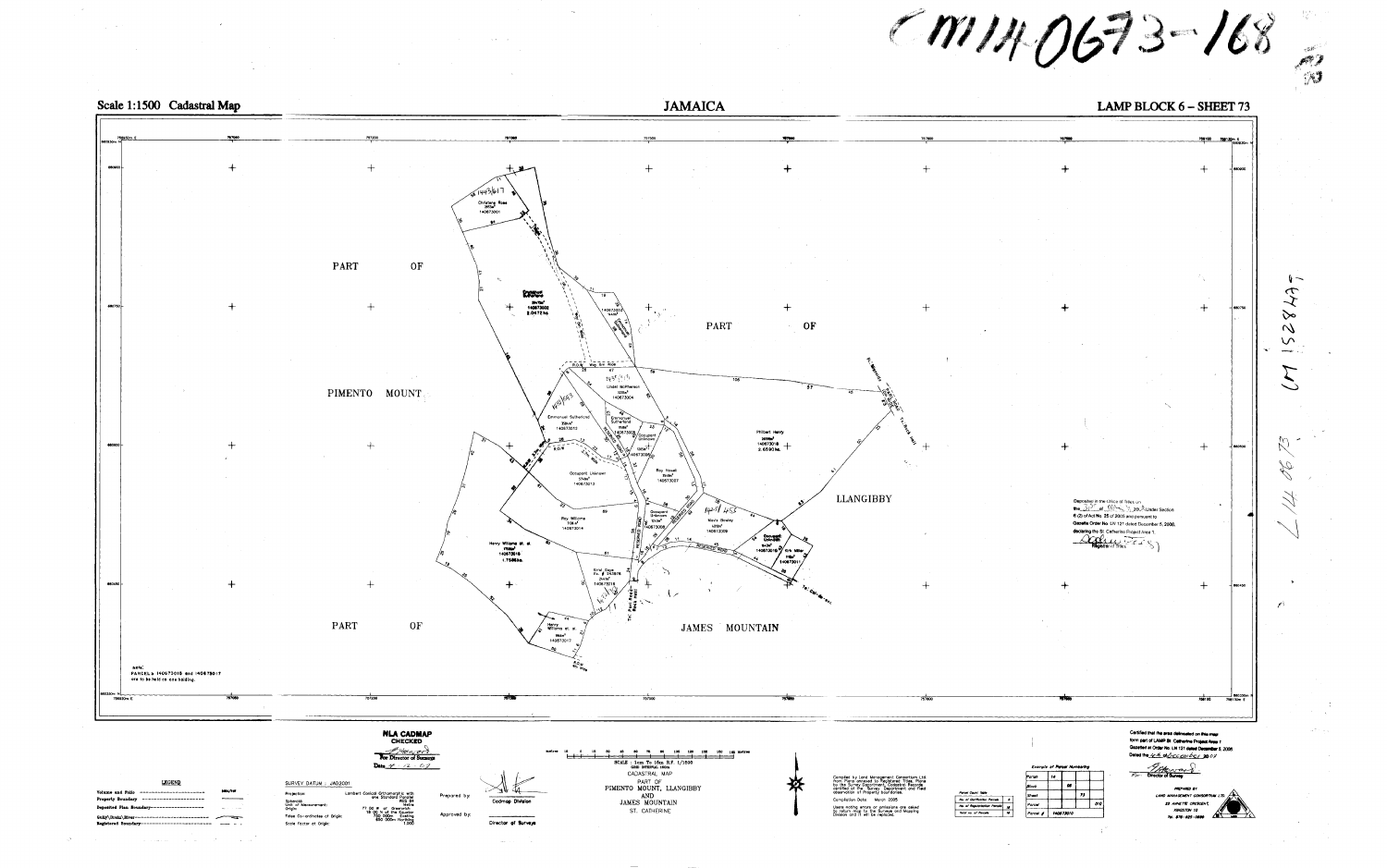![](_page_18_Figure_0.jpeg)

| ----------------------<br><b>slume and Folic</b> | łШ              |
|--------------------------------------------------|-----------------|
| roperty Boundary ----------------------          |                 |
| sposited Plan Boundary------------------         | $\mu$ and $\mu$ |
| ully\Drain\River-------------------------        |                 |
| egistered Boundary-------------------------      |                 |

 $\sim 10^{10}$   $\sim$ 

أنفر الأنابي والمحارب والمتابعة والمتابعة والمستقر والداري

وأراب المحفف  $\sim 10^{11}$  km  $^{-1}$ 

 $77110673 - 168$ 

LAMP BLOCK  $6$  – SHEET 73

756100 766130m E 880750 - 660600  $\sim 100$   $\mu$ 6 (2) of Act No. 25 of 2005 and pursuant to Gazette Order No. LN 121 dated December 5, 2006. declaring the St. Catherine Project Area 1. Registrar of Titles - 660450 - $rac{1}{256100}$ Certified that the area delineated on this map

| Parcel Count Table            |  |
|-------------------------------|--|
| No. of Clarification Parcele  |  |
| No. of Regularisation Parcels |  |
| Total no. of Parcela          |  |

| Parish        | 14        |    |    |     |  |
|---------------|-----------|----|----|-----|--|
| <b>B</b> lock |           | øs |    |     |  |
| Sheet         |           |    | 73 |     |  |
| Porcel        |           |    |    | 010 |  |
| Parcel #      | 140873010 |    |    |     |  |

form part of LAMP St. Cetherine Project Area 1 Gazetted at Order No. LN 121 dated December 5, 2006. Dated the 4th of December 2007

**Charles Community**  $F_{\rho}$ 

**PREPARED BY** LAND MANAGEMENT CONSORTIUM I 22 ANNETTE CRESCENT, **KINGSTON 10** 7al. 876-825-0899

![](_page_18_Picture_20.jpeg)

![](_page_18_Picture_21.jpeg)

 $\frac{1}{2}\bigvee\limits_{\mathbf{G}}\mathbf{G}_{\mathbf{G}}$ 

∨∾

 $\mathcal{N}$ 

 $\sqrt{ }$ 

 $\sim$   $\sim$ 

 $26$ 

 $\bigvee$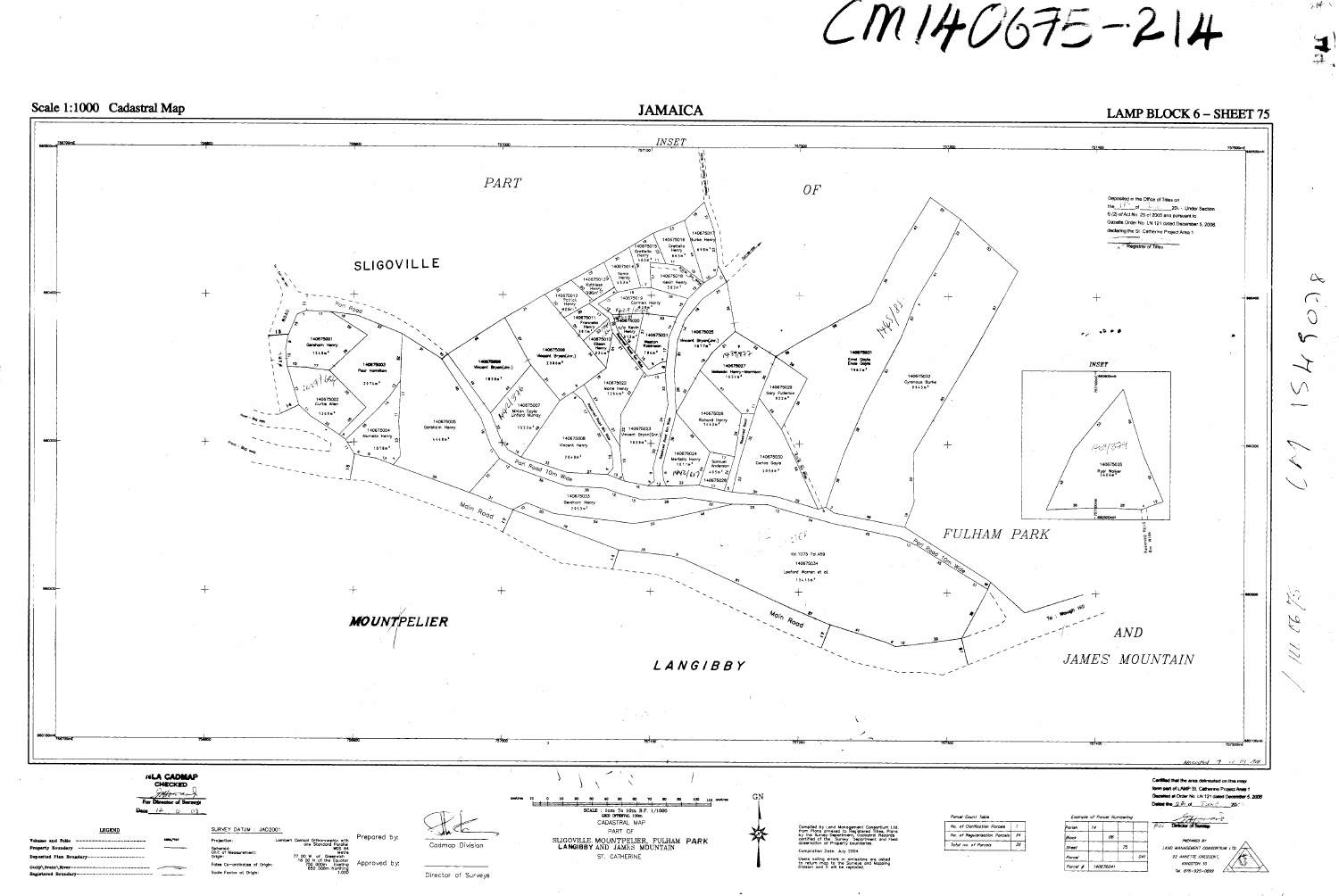![](_page_19_Figure_0.jpeg)

![](_page_19_Figure_1.jpeg)

 $CM140675 - 214$ 

**JAMAICA** 

![](_page_19_Figure_10.jpeg)

不呼下

 $\Delta$ 

 $\left($   $\vee$